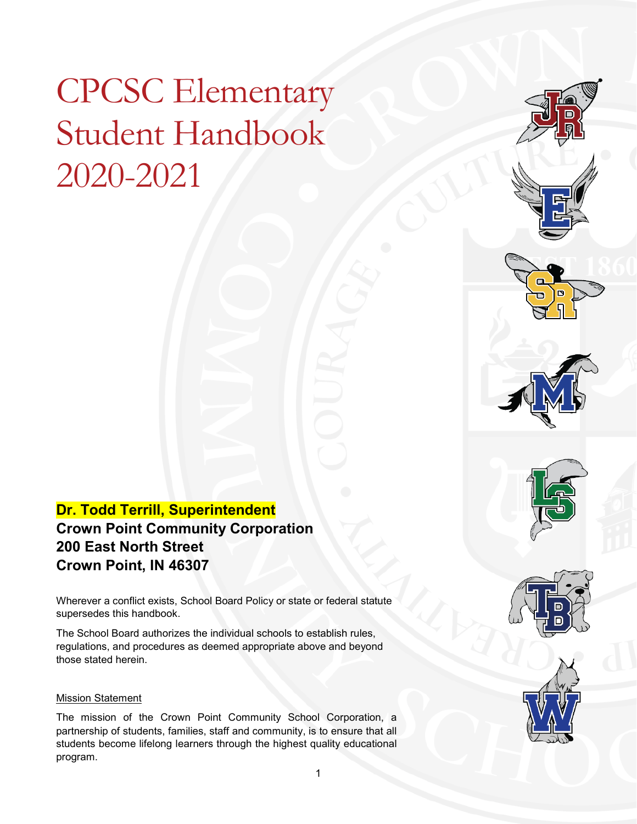# CPCSC Elementary Student Handbook 2020-2021

### **Dr. Todd Terrill, Superintendent Crown Point Community Corporation 200 East North Street Crown Point, IN 46307**

Wherever a conflict exists, School Board Policy or state or federal statute supersedes this handbook.

The School Board authorizes the individual schools to establish rules, regulations, and procedures as deemed appropriate above and beyond those stated herein.

#### Mission Statement

The mission of the Crown Point Community School Corporation, a partnership of students, families, staff and community, is to ensure that all students become lifelong learners through the highest quality educational program.





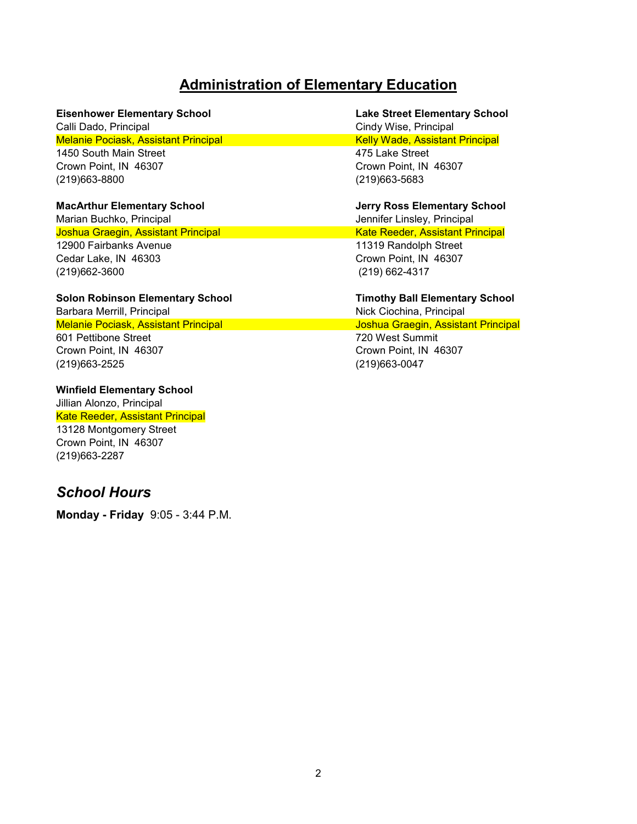### **Administration of Elementary Education**

Calli Dado, Principal Cindy Wise, Principal Melanie Pociask, Assistant Principal Kelly Wade, Assistant Principal Kelly Wade, Assistant Principal 1450 South Main Street 475 Lake Street

(219)663-8800 (219)663-5683

Joshua Graegin, Assistant Principal Kate Reeder, Assistant Principal 12900 Fairbanks Avenue 11319 Randolph Street Cedar Lake, IN 46303 Crown Point, IN 46307 (219)662-3600 (219) 662-4317

#### **Solon Robinson Elementary School Timothy Ball Elementary School**

Barbara Merrill, Principal Nick Ciochina, Principal Nick Ciochina, Principal Melanie Pociask, Assistant Principal Joshua Graegin, Assistant Principal 601 Pettibone Street 720 West Summit Crown Point, IN 46307 Crown Point, IN 46307 (219)663-2525 (219)663-0047

**Winfield Elementary School** Jillian Alonzo, Principal

Kate Reeder, Assistant Principal

13128 Montgomery Street Crown Point, IN 46307 (219)663-2287

#### *School Hours*

**Monday - Friday** 9:05 - 3:44 P.M.

# **Eisenhower Elementary School Lake Street Elementary School** Crown Point, IN 46307 Crown Point, IN 46307

**MacArthur Elementary School Jerry Ross Elementary School** Marian Buchko, Principal **Jennifer Linsley, Principal** Jennifer Linsley, Principal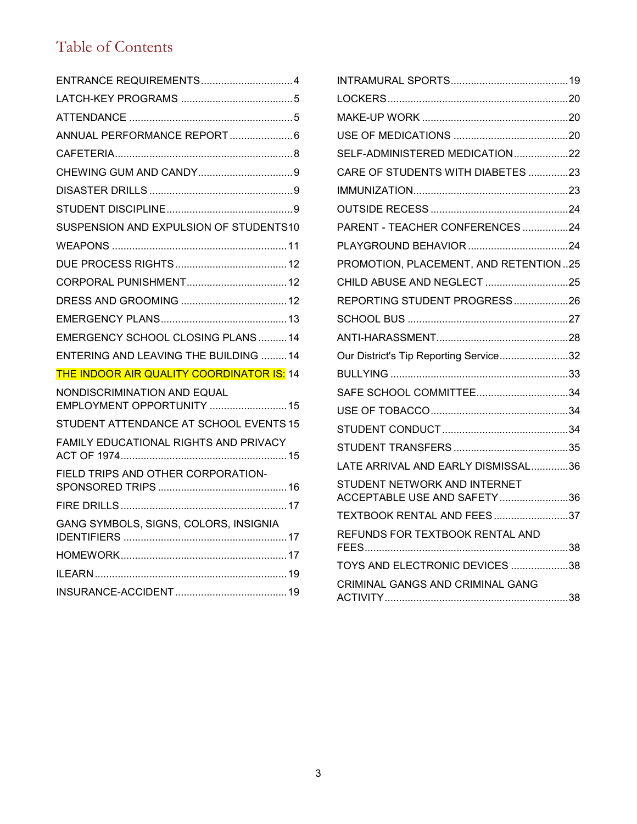# Table of Contents

| ENTRANCE REQUIREMENTS4                                    |
|-----------------------------------------------------------|
|                                                           |
|                                                           |
| ANNUAL PERFORMANCE REPORT  6                              |
|                                                           |
|                                                           |
|                                                           |
|                                                           |
| SUSPENSION AND EXPULSION OF STUDENTS10                    |
|                                                           |
|                                                           |
|                                                           |
|                                                           |
|                                                           |
| EMERGENCY SCHOOL CLOSING PLANS  14                        |
| <b>ENTERING AND LEAVING THE BUILDING 14</b>               |
| THE INDOOR AIR QUALITY COORDINATOR IS: 14                 |
| NONDISCRIMINATION AND EQUAL<br>EMPLOYMENT OPPORTUNITY  15 |
| STUDENT ATTENDANCE AT SCHOOL EVENTS 15                    |
| FAMILY EDUCATIONAL RIGHTS AND PRIVACY                     |
| FIELD TRIPS AND OTHER CORPORATION-                        |
|                                                           |
| GANG SYMBOLS, SIGNS, COLORS, INSIGNIA                     |
|                                                           |
|                                                           |
|                                                           |

| SELF-ADMINISTERED MEDICATION22         |  |
|----------------------------------------|--|
| CARE OF STUDENTS WITH DIABETES 23      |  |
|                                        |  |
|                                        |  |
| PARENT - TEACHER CONFERENCES24         |  |
|                                        |  |
| PROMOTION, PLACEMENT, AND RETENTION25  |  |
| CHILD ABUSE AND NEGLECT 25             |  |
| REPORTING STUDENT PROGRESS26           |  |
|                                        |  |
|                                        |  |
| Our District's Tip Reporting Service32 |  |
|                                        |  |
|                                        |  |
|                                        |  |
|                                        |  |
|                                        |  |
| LATE ARRIVAL AND EARLY DISMISSAL36     |  |
| STUDENT NETWORK AND INTERNET           |  |
| ACCEPTABLE USE AND SAFETY36            |  |
| TEXTBOOK RENTAL AND FEES37             |  |
| REFUNDS FOR TEXTBOOK RENTAL AND        |  |
| TOYS AND ELECTRONIC DEVICES 38         |  |
| CRIMINAL GANGS AND CRIMINAL GANG       |  |
|                                        |  |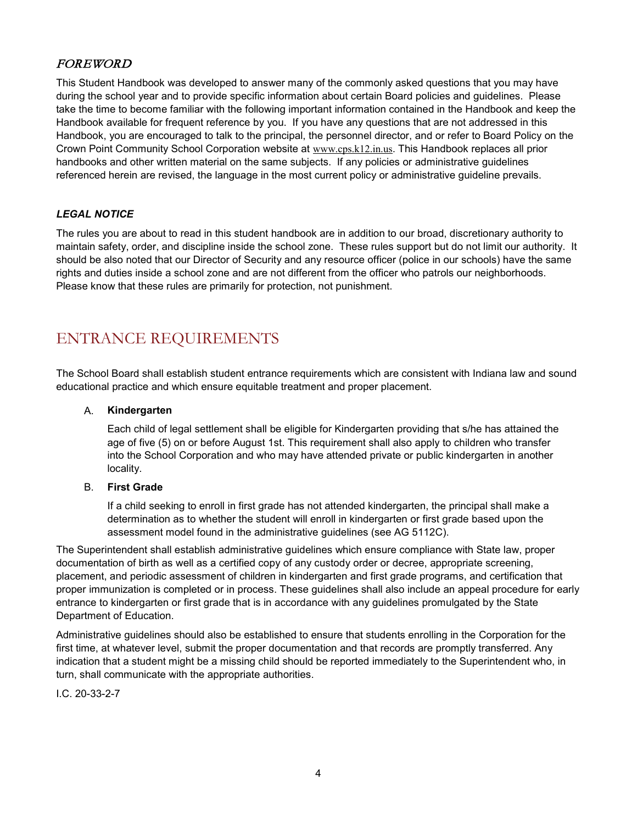#### FOREWORD

This Student Handbook was developed to answer many of the commonly asked questions that you may have during the school year and to provide specific information about certain Board policies and guidelines. Please take the time to become familiar with the following important information contained in the Handbook and keep the Handbook available for frequent reference by you. If you have any questions that are not addressed in this Handbook, you are encouraged to talk to the principal, the personnel director, and or refer to Board Policy on the Crown Point Community School Corporation website at [www.cps.k12.in.us](http://www.cps.k12.in.us/). This Handbook replaces all prior handbooks and other written material on the same subjects. If any policies or administrative guidelines referenced herein are revised, the language in the most current policy or administrative guideline prevails.

#### *LEGAL NOTICE*

The rules you are about to read in this student handbook are in addition to our broad, discretionary authority to maintain safety, order, and discipline inside the school zone. These rules support but do not limit our authority. It should be also noted that our Director of Security and any resource officer (police in our schools) have the same rights and duties inside a school zone and are not different from the officer who patrols our neighborhoods. Please know that these rules are primarily for protection, not punishment.

### <span id="page-3-0"></span>ENTRANCE REQUIREMENTS

The School Board shall establish student entrance requirements which are consistent with Indiana law and sound educational practice and which ensure equitable treatment and proper placement.

#### A. **Kindergarten**

Each child of legal settlement shall be eligible for Kindergarten providing that s/he has attained the age of five (5) on or before August 1st. This requirement shall also apply to children who transfer into the School Corporation and who may have attended private or public kindergarten in another locality.

#### B. **First Grade**

If a child seeking to enroll in first grade has not attended kindergarten, the principal shall make a determination as to whether the student will enroll in kindergarten or first grade based upon the assessment model found in the administrative guidelines (see AG 5112C).

The Superintendent shall establish administrative guidelines which ensure compliance with State law, proper documentation of birth as well as a certified copy of any custody order or decree, appropriate screening, placement, and periodic assessment of children in kindergarten and first grade programs, and certification that proper immunization is completed or in process. These guidelines shall also include an appeal procedure for early entrance to kindergarten or first grade that is in accordance with any guidelines promulgated by the State Department of Education.

Administrative guidelines should also be established to ensure that students enrolling in the Corporation for the first time, at whatever level, submit the proper documentation and that records are promptly transferred. Any indication that a student might be a missing child should be reported immediately to the Superintendent who, in turn, shall communicate with the appropriate authorities.

I.C. 20-33-2-7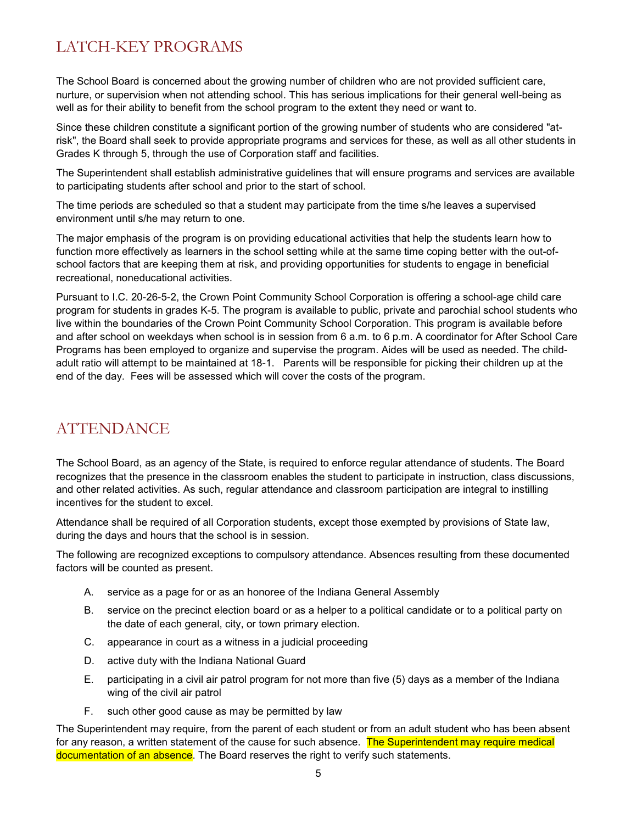## <span id="page-4-0"></span>LATCH-KEY PROGRAMS

The School Board is concerned about the growing number of children who are not provided sufficient care, nurture, or supervision when not attending school. This has serious implications for their general well-being as well as for their ability to benefit from the school program to the extent they need or want to.

Since these children constitute a significant portion of the growing number of students who are considered "atrisk", the Board shall seek to provide appropriate programs and services for these, as well as all other students in Grades K through 5, through the use of Corporation staff and facilities.

The Superintendent shall establish administrative guidelines that will ensure programs and services are available to participating students after school and prior to the start of school.

The time periods are scheduled so that a student may participate from the time s/he leaves a supervised environment until s/he may return to one.

The major emphasis of the program is on providing educational activities that help the students learn how to function more effectively as learners in the school setting while at the same time coping better with the out-ofschool factors that are keeping them at risk, and providing opportunities for students to engage in beneficial recreational, noneducational activities.

Pursuant to I.C. 20-26-5-2, the Crown Point Community School Corporation is offering a school-age child care program for students in grades K-5. The program is available to public, private and parochial school students who live within the boundaries of the Crown Point Community School Corporation. This program is available before and after school on weekdays when school is in session from 6 a.m. to 6 p.m. A coordinator for After School Care Programs has been employed to organize and supervise the program. Aides will be used as needed. The childadult ratio will attempt to be maintained at 18-1. Parents will be responsible for picking their children up at the end of the day. Fees will be assessed which will cover the costs of the program.

### <span id="page-4-1"></span>ATTENDANCE

The School Board, as an agency of the State, is required to enforce regular attendance of students. The Board recognizes that the presence in the classroom enables the student to participate in instruction, class discussions, and other related activities. As such, regular attendance and classroom participation are integral to instilling incentives for the student to excel.

Attendance shall be required of all Corporation students, except those exempted by provisions of State law, during the days and hours that the school is in session.

The following are recognized exceptions to compulsory attendance. Absences resulting from these documented factors will be counted as present.

- A. service as a page for or as an honoree of the Indiana General Assembly
- B. service on the precinct election board or as a helper to a political candidate or to a political party on the date of each general, city, or town primary election.
- C. appearance in court as a witness in a judicial proceeding
- D. active duty with the Indiana National Guard
- E. participating in a civil air patrol program for not more than five (5) days as a member of the Indiana wing of the civil air patrol
- F. such other good cause as may be permitted by law

The Superintendent may require, from the parent of each student or from an adult student who has been absent for any reason, a written statement of the cause for such absence. The Superintendent may require medical documentation of an absence. The Board reserves the right to verify such statements.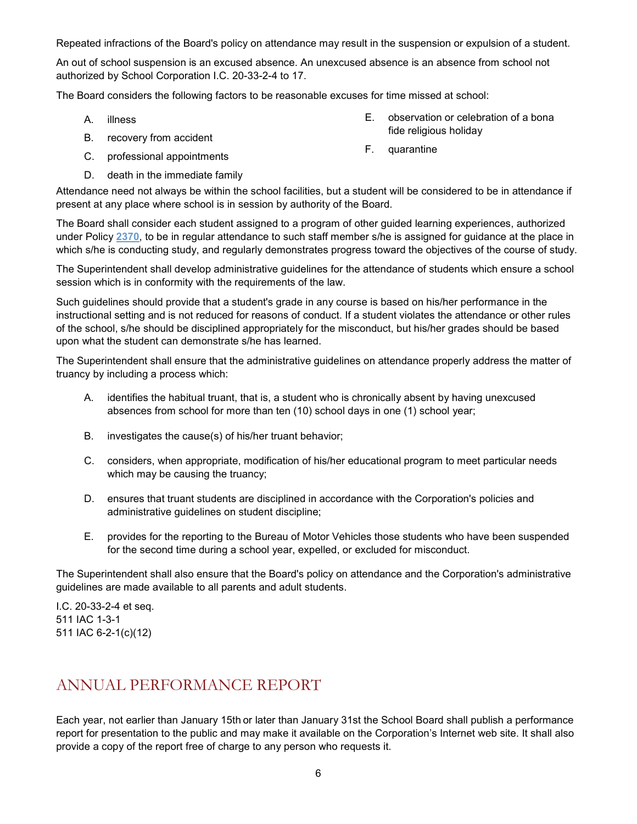Repeated infractions of the Board's policy on attendance may result in the suspension or expulsion of a student.

An out of school suspension is an excused absence. An unexcused absence is an absence from school not authorized by School Corporation I.C. 20-33-2-4 to 17.

The Board considers the following factors to be reasonable excuses for time missed at school:

- A. illness
- B. recovery from accident
- C. professional appointments
- D. death in the immediate family
- E. observation or celebration of a bona fide religious holiday
- F. quarantine

Attendance need not always be within the school facilities, but a student will be considered to be in attendance if present at any place where school is in session by authority of the Board.

The Board shall consider each student assigned to a program of other guided learning experiences, authorized under Policy **[2370](http://www.neola.com/crownpoint-in/search/policies/po2370.htm)**, to be in regular attendance to such staff member s/he is assigned for guidance at the place in which s/he is conducting study, and regularly demonstrates progress toward the objectives of the course of study.

The Superintendent shall develop administrative guidelines for the attendance of students which ensure a school session which is in conformity with the requirements of the law.

Such guidelines should provide that a student's grade in any course is based on his/her performance in the instructional setting and is not reduced for reasons of conduct. If a student violates the attendance or other rules of the school, s/he should be disciplined appropriately for the misconduct, but his/her grades should be based upon what the student can demonstrate s/he has learned.

The Superintendent shall ensure that the administrative guidelines on attendance properly address the matter of truancy by including a process which:

- A. identifies the habitual truant, that is, a student who is chronically absent by having unexcused absences from school for more than ten (10) school days in one (1) school year;
- B. investigates the cause(s) of his/her truant behavior;
- C. considers, when appropriate, modification of his/her educational program to meet particular needs which may be causing the truancy;
- D. ensures that truant students are disciplined in accordance with the Corporation's policies and administrative guidelines on student discipline;
- E. provides for the reporting to the Bureau of Motor Vehicles those students who have been suspended for the second time during a school year, expelled, or excluded for misconduct.

The Superintendent shall also ensure that the Board's policy on attendance and the Corporation's administrative guidelines are made available to all parents and adult students.

I.C. 20-33-2-4 et seq. 511 IAC 1-3-1 511 IAC 6-2-1(c)(12)

### <span id="page-5-0"></span>ANNUAL PERFORMANCE REPORT

Each year, not earlier than January 15th or later than January 31st the School Board shall publish a performance report for presentation to the public and may make it available on the Corporation's Internet web site. It shall also provide a copy of the report free of charge to any person who requests it.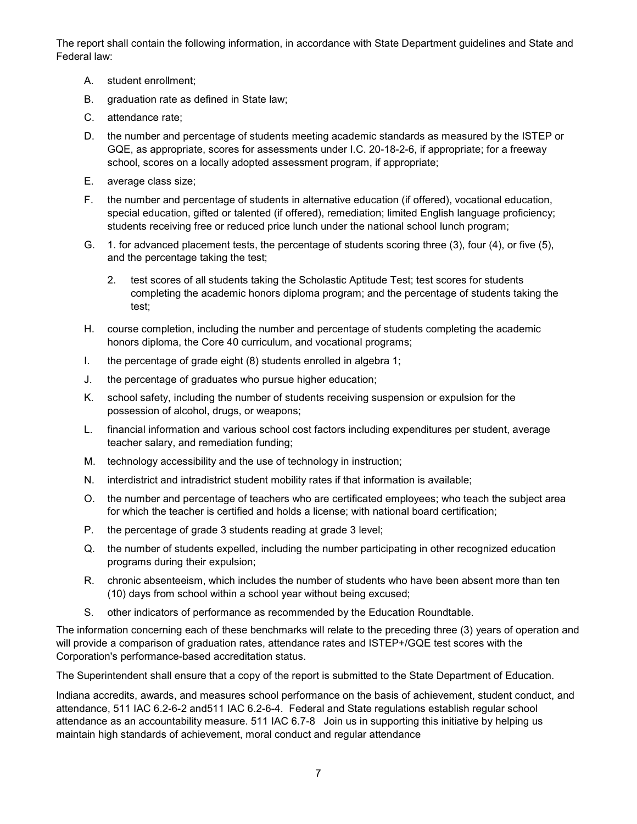The report shall contain the following information, in accordance with State Department guidelines and State and Federal law:

- A. student enrollment;
- B. graduation rate as defined in State law;
- C. attendance rate;
- D. the number and percentage of students meeting academic standards as measured by the ISTEP or GQE, as appropriate, scores for assessments under I.C. 20-18-2-6, if appropriate; for a freeway school, scores on a locally adopted assessment program, if appropriate;
- E. average class size;
- F. the number and percentage of students in alternative education (if offered), vocational education, special education, gifted or talented (if offered), remediation; limited English language proficiency; students receiving free or reduced price lunch under the national school lunch program;
- G. 1. for advanced placement tests, the percentage of students scoring three (3), four (4), or five (5), and the percentage taking the test;
	- 2. test scores of all students taking the Scholastic Aptitude Test; test scores for students completing the academic honors diploma program; and the percentage of students taking the test;
- H. course completion, including the number and percentage of students completing the academic honors diploma, the Core 40 curriculum, and vocational programs;
- I. the percentage of grade eight (8) students enrolled in algebra 1;
- J. the percentage of graduates who pursue higher education;
- K. school safety, including the number of students receiving suspension or expulsion for the possession of alcohol, drugs, or weapons;
- L. financial information and various school cost factors including expenditures per student, average teacher salary, and remediation funding;
- M. technology accessibility and the use of technology in instruction;
- N. interdistrict and intradistrict student mobility rates if that information is available;
- O. the number and percentage of teachers who are certificated employees; who teach the subject area for which the teacher is certified and holds a license; with national board certification;
- P. the percentage of grade 3 students reading at grade 3 level;
- Q. the number of students expelled, including the number participating in other recognized education programs during their expulsion;
- R. chronic absenteeism, which includes the number of students who have been absent more than ten (10) days from school within a school year without being excused;
- S. other indicators of performance as recommended by the Education Roundtable.

The information concerning each of these benchmarks will relate to the preceding three (3) years of operation and will provide a comparison of graduation rates, attendance rates and ISTEP+/GQE test scores with the Corporation's performance-based accreditation status.

The Superintendent shall ensure that a copy of the report is submitted to the State Department of Education.

Indiana accredits, awards, and measures school performance on the basis of achievement, student conduct, and attendance, 511 IAC 6.2-6-2 and511 IAC 6.2-6-4. Federal and State regulations establish regular school attendance as an accountability measure. 511 IAC 6.7-8 Join us in supporting this initiative by helping us maintain high standards of achievement, moral conduct and regular attendance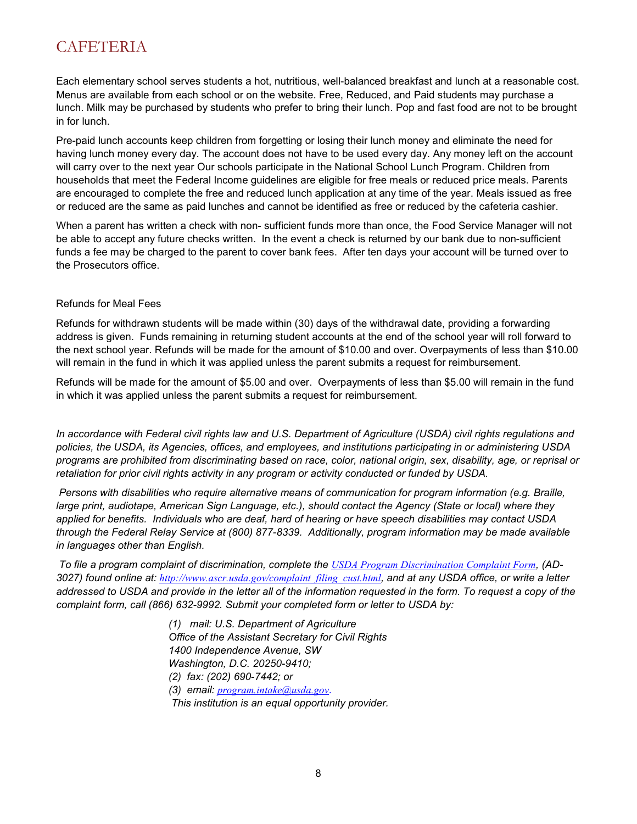### <span id="page-7-0"></span>**CAFETERIA**

Each elementary school serves students a hot, nutritious, well-balanced breakfast and lunch at a reasonable cost. Menus are available from each school or on the website. Free, Reduced, and Paid students may purchase a lunch. Milk may be purchased by students who prefer to bring their lunch. Pop and fast food are not to be brought in for lunch.

Pre-paid lunch accounts keep children from forgetting or losing their lunch money and eliminate the need for having lunch money every day. The account does not have to be used every day. Any money left on the account will carry over to the next year Our schools participate in the National School Lunch Program. Children from households that meet the Federal Income guidelines are eligible for free meals or reduced price meals. Parents are encouraged to complete the free and reduced lunch application at any time of the year. Meals issued as free or reduced are the same as paid lunches and cannot be identified as free or reduced by the cafeteria cashier.

When a parent has written a check with non- sufficient funds more than once, the Food Service Manager will not be able to accept any future checks written. In the event a check is returned by our bank due to non-sufficient funds a fee may be charged to the parent to cover bank fees. After ten days your account will be turned over to the Prosecutors office.

#### Refunds for Meal Fees

Refunds for withdrawn students will be made within (30) days of the withdrawal date, providing a forwarding address is given. Funds remaining in returning student accounts at the end of the school year will roll forward to the next school year. Refunds will be made for the amount of \$10.00 and over. Overpayments of less than \$10.00 will remain in the fund in which it was applied unless the parent submits a request for reimbursement.

Refunds will be made for the amount of \$5.00 and over. Overpayments of less than \$5.00 will remain in the fund in which it was applied unless the parent submits a request for reimbursement.

*In accordance with Federal civil rights law and U.S. Department of Agriculture (USDA) civil rights regulations and policies, the USDA, its Agencies, offices, and employees, and institutions participating in or administering USDA programs are prohibited from discriminating based on race, color, national origin, sex, disability, age, or reprisal or retaliation for prior civil rights activity in any program or activity conducted or funded by USDA.*

*Persons with disabilities who require alternative means of communication for program information (e.g. Braille, large print, audiotape, American Sign Language, etc.), should contact the Agency (State or local) where they applied for benefits. Individuals who are deaf, hard of hearing or have speech disabilities may contact USDA through the Federal Relay Service at (800) 877-8339. Additionally, program information may be made available in languages other than English.*

To file a program complaint of discrimination, complete the *USDA Program [Discrimination Complaint Form](http://www.ocio.usda.gov/sites/default/files/docs/2012/Complain_combined_6_8_12.pdf)*, (AD-*3027) found online at: [http://www.ascr.usda.gov/complaint\\_filing\\_cust.html](http://www.ascr.usda.gov/complaint_filing_cust.html), and at any USDA office, or write a letter addressed to USDA and provide in the letter all of the information requested in the form. To request a copy of the complaint form, call (866) 632-9992. Submit your completed form or letter to USDA by:* 

> *(1) mail: U.S. Department of Agriculture Office of the Assistant Secretary for Civil Rights 1400 Independence Avenue, SW Washington, D.C. 20250-9410; (2) fax: (202) 690-7442; or (3) email: [program.intake@usda.gov](mailto:program.intake@usda.gov). This institution is an equal opportunity provider.*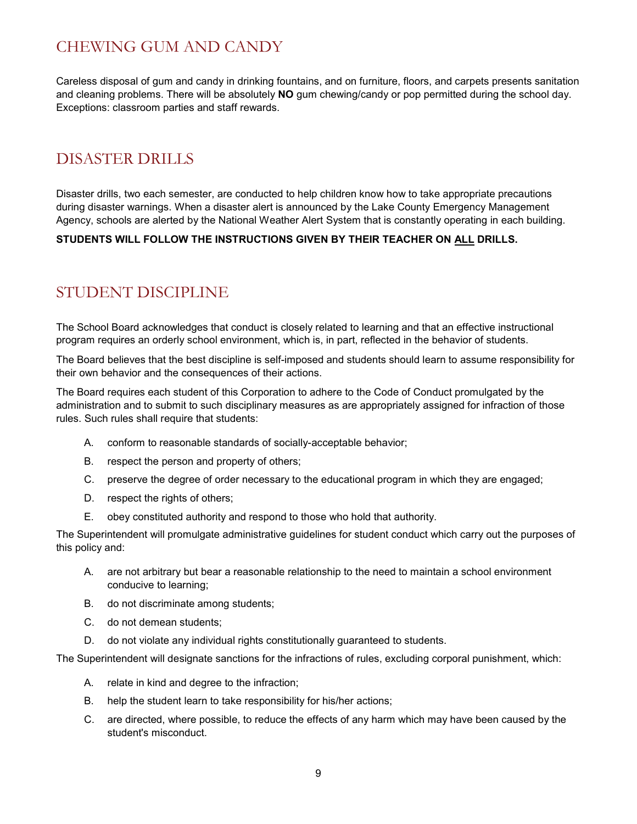### <span id="page-8-0"></span>CHEWING GUM AND CANDY

Careless disposal of gum and candy in drinking fountains, and on furniture, floors, and carpets presents sanitation and cleaning problems. There will be absolutely **NO** gum chewing/candy or pop permitted during the school day. Exceptions: classroom parties and staff rewards.

### <span id="page-8-1"></span>DISASTER DRILLS

Disaster drills, two each semester, are conducted to help children know how to take appropriate precautions during disaster warnings. When a disaster alert is announced by the Lake County Emergency Management Agency, schools are alerted by the National Weather Alert System that is constantly operating in each building.

#### **STUDENTS WILL FOLLOW THE INSTRUCTIONS GIVEN BY THEIR TEACHER ON ALL DRILLS.**

### <span id="page-8-2"></span>STUDENT DISCIPLINE

The School Board acknowledges that conduct is closely related to learning and that an effective instructional program requires an orderly school environment, which is, in part, reflected in the behavior of students.

The Board believes that the best discipline is self-imposed and students should learn to assume responsibility for their own behavior and the consequences of their actions.

The Board requires each student of this Corporation to adhere to the Code of Conduct promulgated by the administration and to submit to such disciplinary measures as are appropriately assigned for infraction of those rules. Such rules shall require that students:

- A. conform to reasonable standards of socially-acceptable behavior;
- B. respect the person and property of others;
- C. preserve the degree of order necessary to the educational program in which they are engaged;
- D. respect the rights of others;
- E. obey constituted authority and respond to those who hold that authority.

The Superintendent will promulgate administrative guidelines for student conduct which carry out the purposes of this policy and:

- A. are not arbitrary but bear a reasonable relationship to the need to maintain a school environment conducive to learning;
- B. do not discriminate among students;
- C. do not demean students;
- D. do not violate any individual rights constitutionally guaranteed to students.

The Superintendent will designate sanctions for the infractions of rules, excluding corporal punishment, which:

- A. relate in kind and degree to the infraction;
- B. help the student learn to take responsibility for his/her actions;
- C. are directed, where possible, to reduce the effects of any harm which may have been caused by the student's misconduct.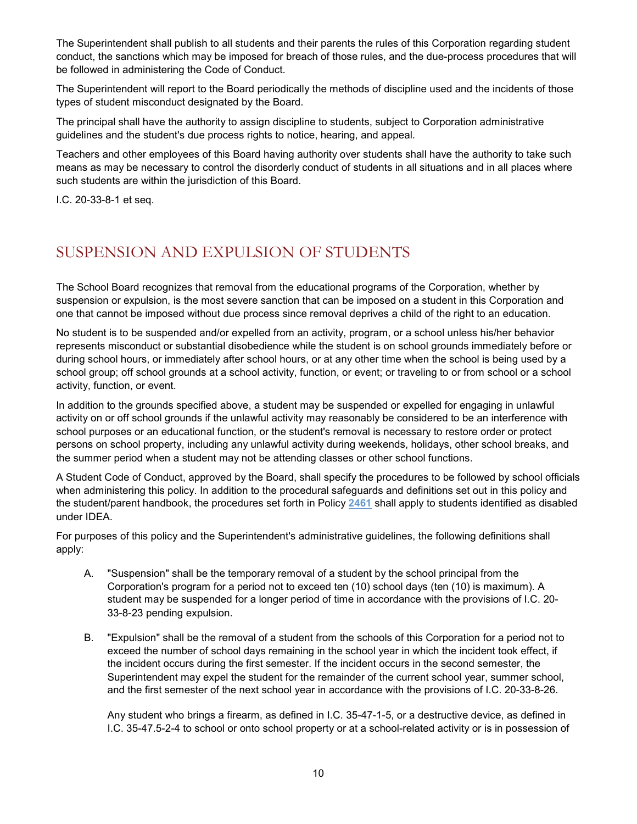The Superintendent shall publish to all students and their parents the rules of this Corporation regarding student conduct, the sanctions which may be imposed for breach of those rules, and the due-process procedures that will be followed in administering the Code of Conduct.

The Superintendent will report to the Board periodically the methods of discipline used and the incidents of those types of student misconduct designated by the Board.

The principal shall have the authority to assign discipline to students, subject to Corporation administrative guidelines and the student's due process rights to notice, hearing, and appeal.

Teachers and other employees of this Board having authority over students shall have the authority to take such means as may be necessary to control the disorderly conduct of students in all situations and in all places where such students are within the jurisdiction of this Board.

I.C. 20-33-8-1 et seq.

### <span id="page-9-0"></span>SUSPENSION AND EXPULSION OF STUDENTS

The School Board recognizes that removal from the educational programs of the Corporation, whether by suspension or expulsion, is the most severe sanction that can be imposed on a student in this Corporation and one that cannot be imposed without due process since removal deprives a child of the right to an education.

No student is to be suspended and/or expelled from an activity, program, or a school unless his/her behavior represents misconduct or substantial disobedience while the student is on school grounds immediately before or during school hours, or immediately after school hours, or at any other time when the school is being used by a school group; off school grounds at a school activity, function, or event; or traveling to or from school or a school activity, function, or event.

In addition to the grounds specified above, a student may be suspended or expelled for engaging in unlawful activity on or off school grounds if the unlawful activity may reasonably be considered to be an interference with school purposes or an educational function, or the student's removal is necessary to restore order or protect persons on school property, including any unlawful activity during weekends, holidays, other school breaks, and the summer period when a student may not be attending classes or other school functions.

A Student Code of Conduct, approved by the Board, shall specify the procedures to be followed by school officials when administering this policy. In addition to the procedural safeguards and definitions set out in this policy and the student/parent handbook, the procedures set forth in Policy **[2461](http://www.neola.com/crownpoint-in/search/policies/po2461.htm)** shall apply to students identified as disabled under IDEA.

For purposes of this policy and the Superintendent's administrative guidelines, the following definitions shall apply:

- A. "Suspension" shall be the temporary removal of a student by the school principal from the Corporation's program for a period not to exceed ten (10) school days (ten (10) is maximum). A student may be suspended for a longer period of time in accordance with the provisions of I.C. 20- 33-8-23 pending expulsion.
- B. "Expulsion" shall be the removal of a student from the schools of this Corporation for a period not to exceed the number of school days remaining in the school year in which the incident took effect, if the incident occurs during the first semester. If the incident occurs in the second semester, the Superintendent may expel the student for the remainder of the current school year, summer school, and the first semester of the next school year in accordance with the provisions of I.C. 20-33-8-26.

Any student who brings a firearm, as defined in I.C. 35-47-1-5, or a destructive device, as defined in I.C. 35-47.5-2-4 to school or onto school property or at a school-related activity or is in possession of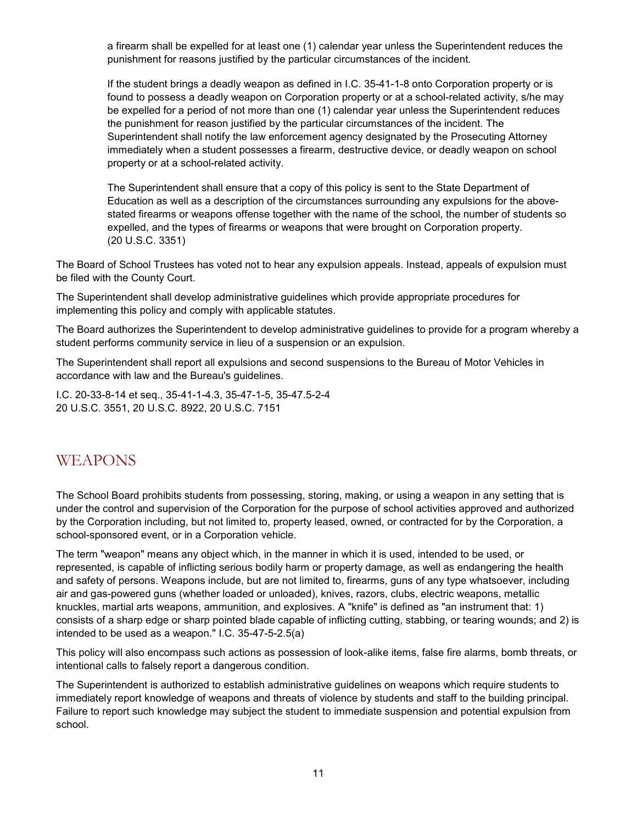a firearm shall be expelled for at least one (1) calendar year unless the Superintendent reduces the punishment for reasons justified by the particular circumstances of the incident.

If the student brings a deadly weapon as defined in I.C. 35-41-1-8 onto Corporation property or is found to possess a deadly weapon on Corporation property or at a school-related activity, s/he may be expelled for a period of not more than one (1) calendar year unless the Superintendent reduces the punishment for reason justified by the particular circumstances of the incident. The Superintendent shall notify the law enforcement agency designated by the Prosecuting Attorney immediately when a student possesses a firearm, destructive device, or deadly weapon on school property or at a school-related activity.

The Superintendent shall ensure that a copy of this policy is sent to the State Department of Education as well as a description of the circumstances surrounding any expulsions for the abovestated firearms or weapons offense together with the name of the school, the number of students so expelled, and the types of firearms or weapons that were brought on Corporation property. (20 U.S.C. 3351)

The Board of School Trustees has voted not to hear any expulsion appeals. Instead, appeals of expulsion must be filed with the County Court.

The Superintendent shall develop administrative guidelines which provide appropriate procedures for implementing this policy and comply with applicable statutes.

The Board authorizes the Superintendent to develop administrative guidelines to provide for a program whereby a student performs community service in lieu of a suspension or an expulsion.

The Superintendent shall report all expulsions and second suspensions to the Bureau of Motor Vehicles in accordance with law and the Bureau's guidelines.

I.C. 20-33-8-14 et seq., 35-41-1-4.3, 35-47-1-5, 35-47.5-2-4 20 U.S.C. 3551, 20 U.S.C. 8922, 20 U.S.C. 7151

#### <span id="page-10-0"></span>WEAPONS

The School Board prohibits students from possessing, storing, making, or using a weapon in any setting that is under the control and supervision of the Corporation for the purpose of school activities approved and authorized by the Corporation including, but not limited to, property leased, owned, or contracted for by the Corporation, a school-sponsored event, or in a Corporation vehicle.

The term "weapon" means any object which, in the manner in which it is used, intended to be used, or represented, is capable of inflicting serious bodily harm or property damage, as well as endangering the health and safety of persons. Weapons include, but are not limited to, firearms, guns of any type whatsoever, including air and gas-powered guns (whether loaded or unloaded), knives, razors, clubs, electric weapons, metallic knuckles, martial arts weapons, ammunition, and explosives. A "knife" is defined as "an instrument that: 1) consists of a sharp edge or sharp pointed blade capable of inflicting cutting, stabbing, or tearing wounds; and 2) is intended to be used as a weapon." I.C. 35-47-5-2.5(a)

This policy will also encompass such actions as possession of look-alike items, false fire alarms, bomb threats, or intentional calls to falsely report a dangerous condition.

The Superintendent is authorized to establish administrative guidelines on weapons which require students to immediately report knowledge of weapons and threats of violence by students and staff to the building principal. Failure to report such knowledge may subject the student to immediate suspension and potential expulsion from school.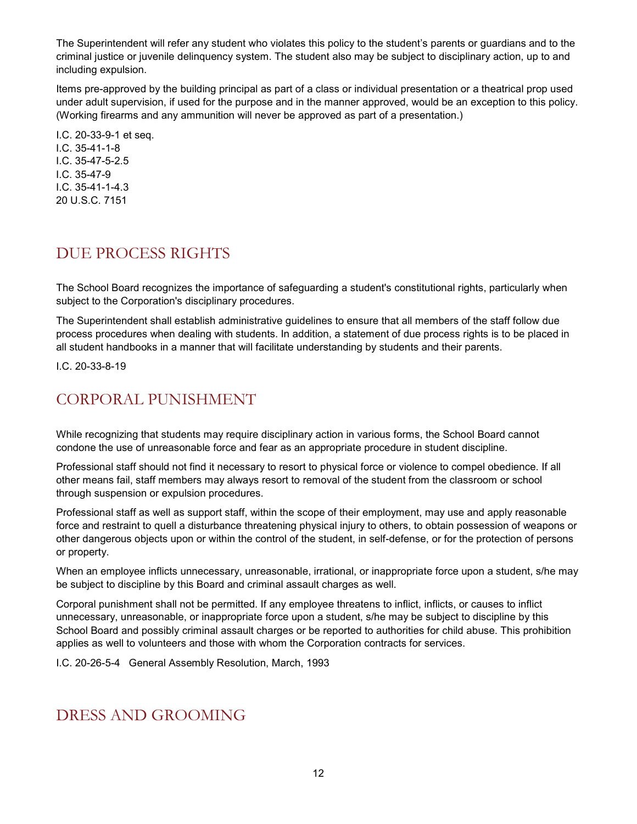The Superintendent will refer any student who violates this policy to the student's parents or guardians and to the criminal justice or juvenile delinquency system. The student also may be subject to disciplinary action, up to and including expulsion.

Items pre-approved by the building principal as part of a class or individual presentation or a theatrical prop used under adult supervision, if used for the purpose and in the manner approved, would be an exception to this policy. (Working firearms and any ammunition will never be approved as part of a presentation.)

I.C. 20-33-9-1 et seq. I.C. 35-41-1-8 I.C. 35-47-5-2.5 I.C. 35-47-9 I.C. 35-41-1-4.3 20 U.S.C. 7151

### <span id="page-11-0"></span>DUE PROCESS RIGHTS

The School Board recognizes the importance of safeguarding a student's constitutional rights, particularly when subject to the Corporation's disciplinary procedures.

The Superintendent shall establish administrative guidelines to ensure that all members of the staff follow due process procedures when dealing with students. In addition, a statement of due process rights is to be placed in all student handbooks in a manner that will facilitate understanding by students and their parents.

I.C. 20-33-8-19

### <span id="page-11-1"></span>CORPORAL PUNISHMENT

While recognizing that students may require disciplinary action in various forms, the School Board cannot condone the use of unreasonable force and fear as an appropriate procedure in student discipline.

Professional staff should not find it necessary to resort to physical force or violence to compel obedience. If all other means fail, staff members may always resort to removal of the student from the classroom or school through suspension or expulsion procedures.

Professional staff as well as support staff, within the scope of their employment, may use and apply reasonable force and restraint to quell a disturbance threatening physical injury to others, to obtain possession of weapons or other dangerous objects upon or within the control of the student, in self-defense, or for the protection of persons or property.

When an employee inflicts unnecessary, unreasonable, irrational, or inappropriate force upon a student, s/he may be subject to discipline by this Board and criminal assault charges as well.

Corporal punishment shall not be permitted. If any employee threatens to inflict, inflicts, or causes to inflict unnecessary, unreasonable, or inappropriate force upon a student, s/he may be subject to discipline by this School Board and possibly criminal assault charges or be reported to authorities for child abuse. This prohibition applies as well to volunteers and those with whom the Corporation contracts for services.

I.C. 20-26-5-4 General Assembly Resolution, March, 1993

### <span id="page-11-2"></span>DRESS AND GROOMING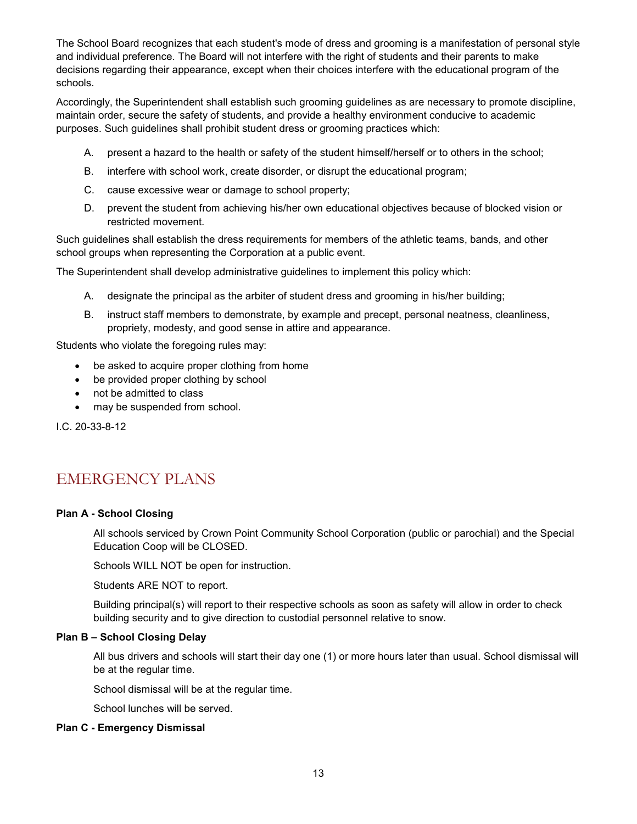The School Board recognizes that each student's mode of dress and grooming is a manifestation of personal style and individual preference. The Board will not interfere with the right of students and their parents to make decisions regarding their appearance, except when their choices interfere with the educational program of the schools.

Accordingly, the Superintendent shall establish such grooming guidelines as are necessary to promote discipline, maintain order, secure the safety of students, and provide a healthy environment conducive to academic purposes. Such guidelines shall prohibit student dress or grooming practices which:

- A. present a hazard to the health or safety of the student himself/herself or to others in the school;
- B. interfere with school work, create disorder, or disrupt the educational program;
- C. cause excessive wear or damage to school property;
- D. prevent the student from achieving his/her own educational objectives because of blocked vision or restricted movement.

Such guidelines shall establish the dress requirements for members of the athletic teams, bands, and other school groups when representing the Corporation at a public event.

The Superintendent shall develop administrative guidelines to implement this policy which:

- A. designate the principal as the arbiter of student dress and grooming in his/her building;
- B. instruct staff members to demonstrate, by example and precept, personal neatness, cleanliness, propriety, modesty, and good sense in attire and appearance.

Students who violate the foregoing rules may:

- be asked to acquire proper clothing from home
- be provided proper clothing by school
- not be admitted to class
- may be suspended from school.

I.C. 20-33-8-12

### <span id="page-12-0"></span>EMERGENCY PLANS

#### **Plan A - School Closing**

All schools serviced by Crown Point Community School Corporation (public or parochial) and the Special Education Coop will be CLOSED.

Schools WILL NOT be open for instruction.

Students ARE NOT to report.

Building principal(s) will report to their respective schools as soon as safety will allow in order to check building security and to give direction to custodial personnel relative to snow.

#### **Plan B – School Closing Delay**

All bus drivers and schools will start their day one (1) or more hours later than usual. School dismissal will be at the regular time.

School dismissal will be at the regular time.

School lunches will be served.

#### **Plan C - Emergency Dismissal**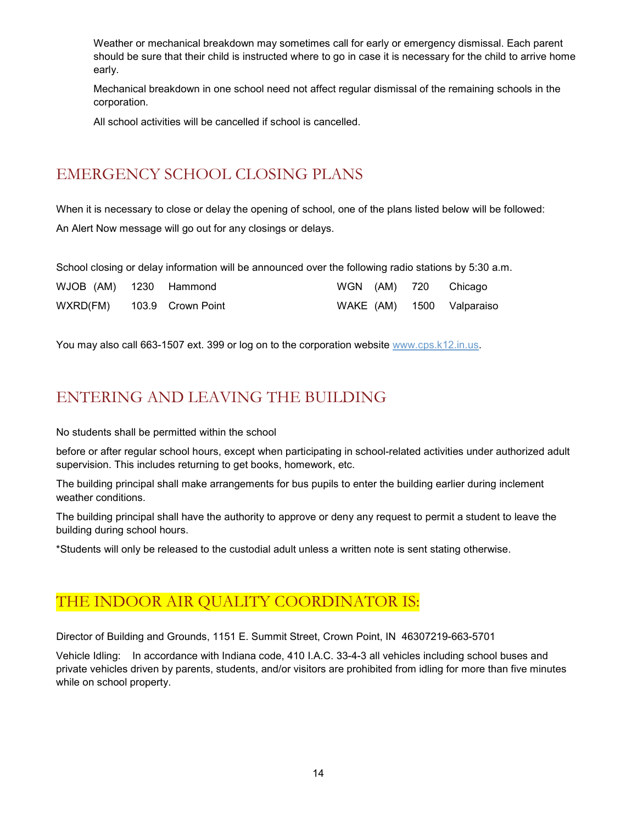Weather or mechanical breakdown may sometimes call for early or emergency dismissal. Each parent should be sure that their child is instructed where to go in case it is necessary for the child to arrive home early.

Mechanical breakdown in one school need not affect regular dismissal of the remaining schools in the corporation.

All school activities will be cancelled if school is cancelled.

### <span id="page-13-0"></span>EMERGENCY SCHOOL CLOSING PLANS

When it is necessary to close or delay the opening of school, one of the plans listed below will be followed: An Alert Now message will go out for any closings or delays.

School closing or delay information will be announced over the following radio stations by 5:30 a.m.

| WJOB (AM) 1230 Hammond     |  |  | WGN (AM) 720 Chicago      |
|----------------------------|--|--|---------------------------|
| WXRD(FM) 103.9 Crown Point |  |  | WAKE (AM) 1500 Valparaiso |

You may also call 663-1507 ext. 399 or log on to the corporation website [www.cps.k12.in.us.](http://www.cps.k12.in.us/)

### <span id="page-13-1"></span>ENTERING AND LEAVING THE BUILDING

No students shall be permitted within the school

before or after regular school hours, except when participating in school-related activities under authorized adult supervision. This includes returning to get books, homework, etc.

The building principal shall make arrangements for bus pupils to enter the building earlier during inclement weather conditions.

The building principal shall have the authority to approve or deny any request to permit a student to leave the building during school hours.

\*Students will only be released to the custodial adult unless a written note is sent stating otherwise.

### <span id="page-13-2"></span>THE INDOOR AIR QUALITY COORDINATOR IS:

Director of Building and Grounds, 1151 E. Summit Street, Crown Point, IN 46307219-663-5701

Vehicle Idling: In accordance with Indiana code, 410 I.A.C. 33-4-3 all vehicles including school buses and private vehicles driven by parents, students, and/or visitors are prohibited from idling for more than five minutes while on school property.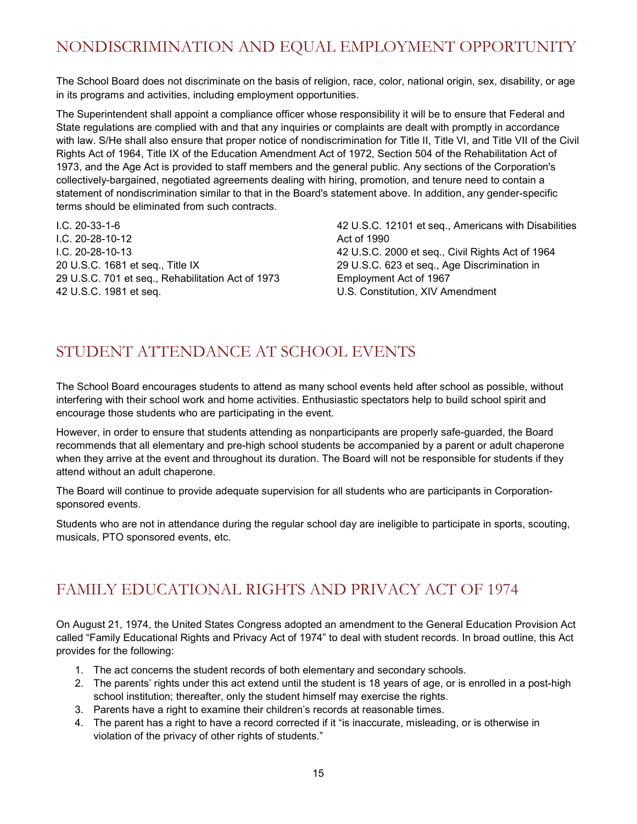## <span id="page-14-0"></span>NONDISCRIMINATION AND EQUAL EMPLOYMENT OPPORTUNITY

The School Board does not discriminate on the basis of religion, race, color, national origin, sex, disability, or age in its programs and activities, including employment opportunities.

The Superintendent shall appoint a compliance officer whose responsibility it will be to ensure that Federal and State regulations are complied with and that any inquiries or complaints are dealt with promptly in accordance with law. S/He shall also ensure that proper notice of nondiscrimination for Title II, Title VI, and Title VII of the Civil Rights Act of 1964, Title IX of the Education Amendment Act of 1972, Section 504 of the Rehabilitation Act of 1973, and the Age Act is provided to staff members and the general public. Any sections of the Corporation's collectively-bargained, negotiated agreements dealing with hiring, promotion, and tenure need to contain a statement of nondiscrimination similar to that in the Board's statement above. In addition, any gender-specific terms should be eliminated from such contracts.

I.C. 20-33-1-6 I.C. 20-28-10-12 I.C. 20-28-10-13 20 U.S.C. 1681 et seq., Title IX 29 U.S.C. 701 et seq., Rehabilitation Act of 1973 42 U.S.C. 1981 et seq.

42 U.S.C. 12101 et seq., Americans with Disabilities Act of 1990 42 U.S.C. 2000 et seq., Civil Rights Act of 1964 29 U.S.C. 623 et seq., Age Discrimination in Employment Act of 1967 U.S. Constitution, XIV Amendment

### <span id="page-14-1"></span>STUDENT ATTENDANCE AT SCHOOL EVENTS

The School Board encourages students to attend as many school events held after school as possible, without interfering with their school work and home activities. Enthusiastic spectators help to build school spirit and encourage those students who are participating in the event.

However, in order to ensure that students attending as nonparticipants are properly safe-guarded, the Board recommends that all elementary and pre-high school students be accompanied by a parent or adult chaperone when they arrive at the event and throughout its duration. The Board will not be responsible for students if they attend without an adult chaperone.

The Board will continue to provide adequate supervision for all students who are participants in Corporationsponsored events.

Students who are not in attendance during the regular school day are ineligible to participate in sports, scouting, musicals, PTO sponsored events, etc.

### <span id="page-14-2"></span>FAMILY EDUCATIONAL RIGHTS AND PRIVACY ACT OF 1974

On August 21, 1974, the United States Congress adopted an amendment to the General Education Provision Act called "Family Educational Rights and Privacy Act of 1974" to deal with student records. In broad outline, this Act provides for the following:

- 1. The act concerns the student records of both elementary and secondary schools.
- 2. The parents' rights under this act extend until the student is 18 years of age, or is enrolled in a post-high school institution; thereafter, only the student himself may exercise the rights.
- 3. Parents have a right to examine their children's records at reasonable times.
- 4. The parent has a right to have a record corrected if it "is inaccurate, misleading, or is otherwise in violation of the privacy of other rights of students."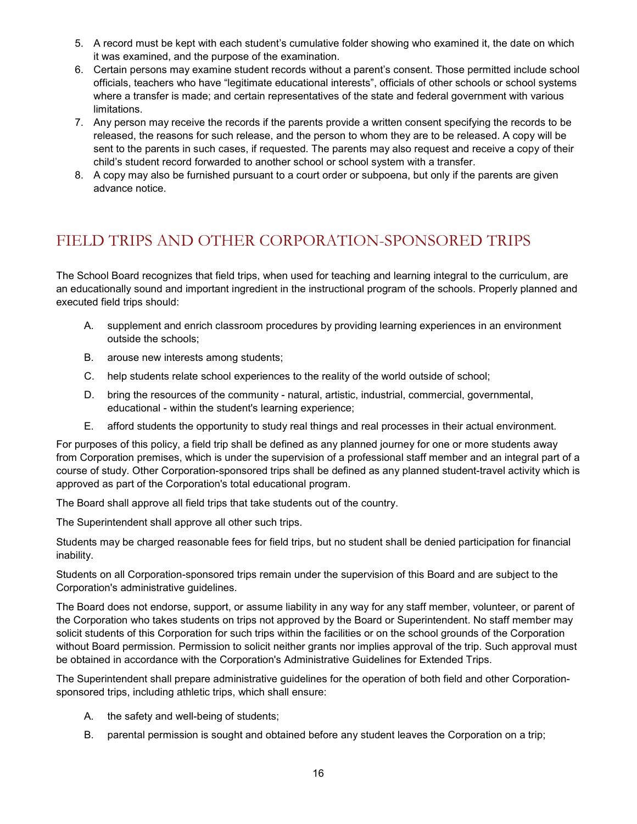- 5. A record must be kept with each student's cumulative folder showing who examined it, the date on which it was examined, and the purpose of the examination.
- 6. Certain persons may examine student records without a parent's consent. Those permitted include school officials, teachers who have "legitimate educational interests", officials of other schools or school systems where a transfer is made; and certain representatives of the state and federal government with various limitations.
- 7. Any person may receive the records if the parents provide a written consent specifying the records to be released, the reasons for such release, and the person to whom they are to be released. A copy will be sent to the parents in such cases, if requested. The parents may also request and receive a copy of their child's student record forwarded to another school or school system with a transfer.
- 8. A copy may also be furnished pursuant to a court order or subpoena, but only if the parents are given advance notice.

### <span id="page-15-0"></span>FIELD TRIPS AND OTHER CORPORATION-SPONSORED TRIPS

The School Board recognizes that field trips, when used for teaching and learning integral to the curriculum, are an educationally sound and important ingredient in the instructional program of the schools. Properly planned and executed field trips should:

- A. supplement and enrich classroom procedures by providing learning experiences in an environment outside the schools;
- B. arouse new interests among students;
- C. help students relate school experiences to the reality of the world outside of school;
- D. bring the resources of the community natural, artistic, industrial, commercial, governmental, educational - within the student's learning experience;
- E. afford students the opportunity to study real things and real processes in their actual environment.

For purposes of this policy, a field trip shall be defined as any planned journey for one or more students away from Corporation premises, which is under the supervision of a professional staff member and an integral part of a course of study. Other Corporation-sponsored trips shall be defined as any planned student-travel activity which is approved as part of the Corporation's total educational program.

The Board shall approve all field trips that take students out of the country.

The Superintendent shall approve all other such trips.

Students may be charged reasonable fees for field trips, but no student shall be denied participation for financial inability.

Students on all Corporation-sponsored trips remain under the supervision of this Board and are subject to the Corporation's administrative guidelines.

The Board does not endorse, support, or assume liability in any way for any staff member, volunteer, or parent of the Corporation who takes students on trips not approved by the Board or Superintendent. No staff member may solicit students of this Corporation for such trips within the facilities or on the school grounds of the Corporation without Board permission. Permission to solicit neither grants nor implies approval of the trip. Such approval must be obtained in accordance with the Corporation's Administrative Guidelines for Extended Trips.

The Superintendent shall prepare administrative guidelines for the operation of both field and other Corporationsponsored trips, including athletic trips, which shall ensure:

- A. the safety and well-being of students;
- B. parental permission is sought and obtained before any student leaves the Corporation on a trip;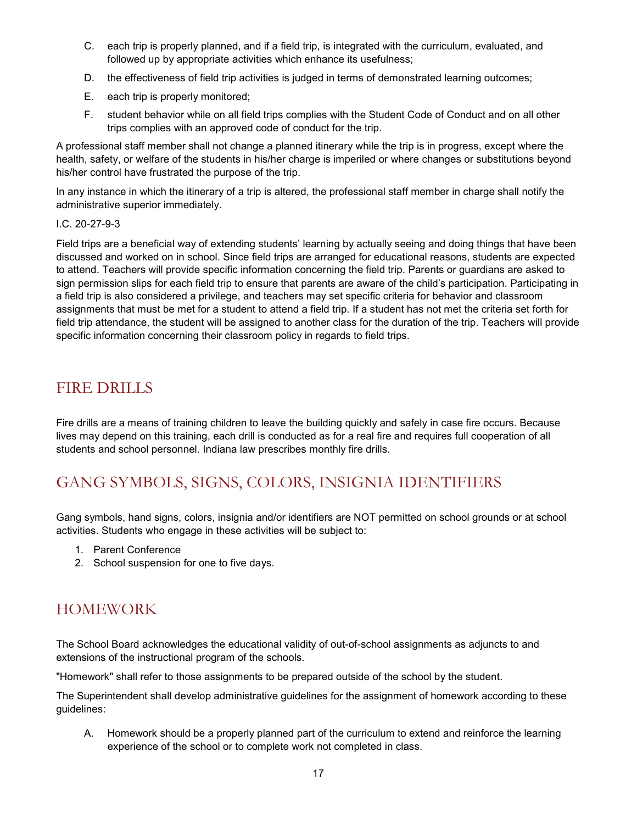- C. each trip is properly planned, and if a field trip, is integrated with the curriculum, evaluated, and followed up by appropriate activities which enhance its usefulness;
- D. the effectiveness of field trip activities is judged in terms of demonstrated learning outcomes;
- E. each trip is properly monitored;
- F. student behavior while on all field trips complies with the Student Code of Conduct and on all other trips complies with an approved code of conduct for the trip.

A professional staff member shall not change a planned itinerary while the trip is in progress, except where the health, safety, or welfare of the students in his/her charge is imperiled or where changes or substitutions beyond his/her control have frustrated the purpose of the trip.

In any instance in which the itinerary of a trip is altered, the professional staff member in charge shall notify the administrative superior immediately.

#### I.C. 20-27-9-3

Field trips are a beneficial way of extending students' learning by actually seeing and doing things that have been discussed and worked on in school. Since field trips are arranged for educational reasons, students are expected to attend. Teachers will provide specific information concerning the field trip. Parents or guardians are asked to sign permission slips for each field trip to ensure that parents are aware of the child's participation. Participating in a field trip is also considered a privilege, and teachers may set specific criteria for behavior and classroom assignments that must be met for a student to attend a field trip. If a student has not met the criteria set forth for field trip attendance, the student will be assigned to another class for the duration of the trip. Teachers will provide specific information concerning their classroom policy in regards to field trips.

#### <span id="page-16-0"></span>FIRE DRILLS

Fire drills are a means of training children to leave the building quickly and safely in case fire occurs. Because lives may depend on this training, each drill is conducted as for a real fire and requires full cooperation of all students and school personnel. Indiana law prescribes monthly fire drills.

### <span id="page-16-1"></span>GANG SYMBOLS, SIGNS, COLORS, INSIGNIA IDENTIFIERS

Gang symbols, hand signs, colors, insignia and/or identifiers are NOT permitted on school grounds or at school activities. Students who engage in these activities will be subject to:

- 1. Parent Conference
- 2. School suspension for one to five days.

### <span id="page-16-2"></span>HOMEWORK

The School Board acknowledges the educational validity of out-of-school assignments as adjuncts to and extensions of the instructional program of the schools.

"Homework" shall refer to those assignments to be prepared outside of the school by the student.

The Superintendent shall develop administrative guidelines for the assignment of homework according to these guidelines:

A. Homework should be a properly planned part of the curriculum to extend and reinforce the learning experience of the school or to complete work not completed in class.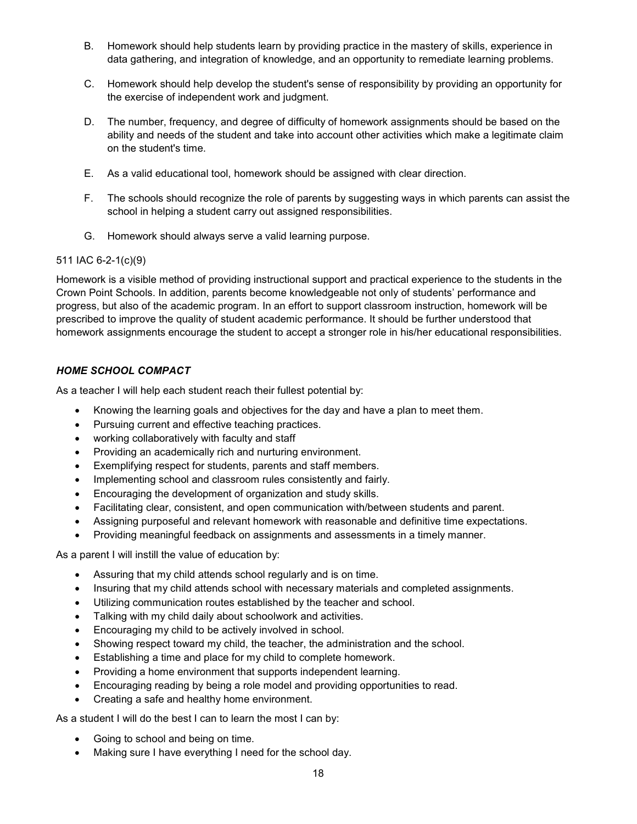- B. Homework should help students learn by providing practice in the mastery of skills, experience in data gathering, and integration of knowledge, and an opportunity to remediate learning problems.
- C. Homework should help develop the student's sense of responsibility by providing an opportunity for the exercise of independent work and judgment.
- D. The number, frequency, and degree of difficulty of homework assignments should be based on the ability and needs of the student and take into account other activities which make a legitimate claim on the student's time.
- E. As a valid educational tool, homework should be assigned with clear direction.
- F. The schools should recognize the role of parents by suggesting ways in which parents can assist the school in helping a student carry out assigned responsibilities.
- G. Homework should always serve a valid learning purpose.

#### 511 IAC 6-2-1(c)(9)

Homework is a visible method of providing instructional support and practical experience to the students in the Crown Point Schools. In addition, parents become knowledgeable not only of students' performance and progress, but also of the academic program. In an effort to support classroom instruction, homework will be prescribed to improve the quality of student academic performance. It should be further understood that homework assignments encourage the student to accept a stronger role in his/her educational responsibilities.

#### *HOME SCHOOL COMPACT*

As a teacher I will help each student reach their fullest potential by:

- Knowing the learning goals and objectives for the day and have a plan to meet them.
- Pursuing current and effective teaching practices.
- working collaboratively with faculty and staff
- Providing an academically rich and nurturing environment.
- Exemplifying respect for students, parents and staff members.
- Implementing school and classroom rules consistently and fairly.
- Encouraging the development of organization and study skills.
- Facilitating clear, consistent, and open communication with/between students and parent.
- Assigning purposeful and relevant homework with reasonable and definitive time expectations.
- Providing meaningful feedback on assignments and assessments in a timely manner.

As a parent I will instill the value of education by:

- Assuring that my child attends school regularly and is on time.
- Insuring that my child attends school with necessary materials and completed assignments.
- Utilizing communication routes established by the teacher and school.
- Talking with my child daily about schoolwork and activities.
- Encouraging my child to be actively involved in school.
- Showing respect toward my child, the teacher, the administration and the school.
- Establishing a time and place for my child to complete homework.
- Providing a home environment that supports independent learning.
- Encouraging reading by being a role model and providing opportunities to read.
- Creating a safe and healthy home environment.

As a student I will do the best I can to learn the most I can by:

- Going to school and being on time.
- Making sure I have everything I need for the school day.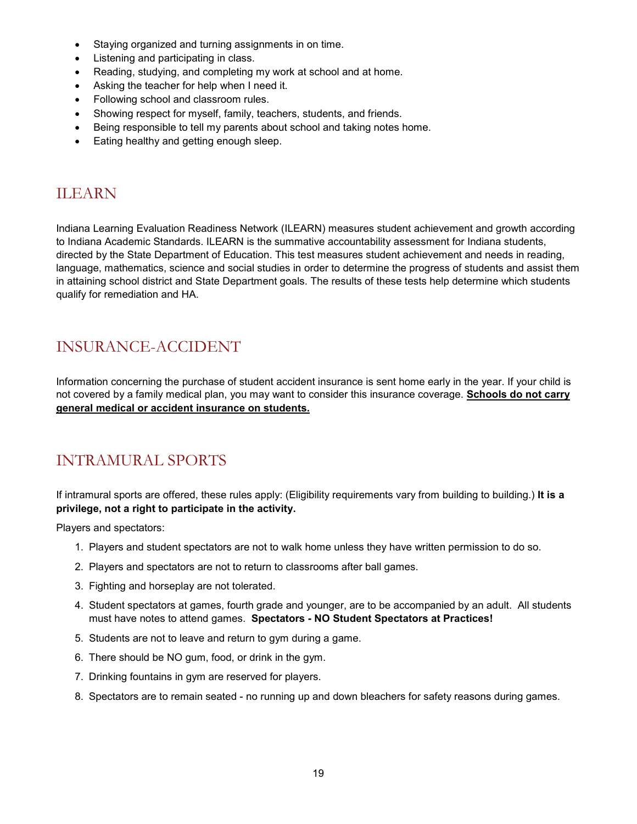- Staying organized and turning assignments in on time.
- Listening and participating in class.
- Reading, studying, and completing my work at school and at home.
- Asking the teacher for help when I need it.
- Following school and classroom rules.
- Showing respect for myself, family, teachers, students, and friends.
- Being responsible to tell my parents about school and taking notes home.
- Eating healthy and getting enough sleep.

### <span id="page-18-0"></span>ILEARN

Indiana Learning Evaluation Readiness Network (ILEARN) measures student achievement and growth according to Indiana Academic Standards. ILEARN is the summative accountability assessment for Indiana students, directed by the State Department of Education. This test measures student achievement and needs in reading, language, mathematics, science and social studies in order to determine the progress of students and assist them in attaining school district and State Department goals. The results of these tests help determine which students qualify for remediation and HA.

### <span id="page-18-1"></span>INSURANCE-ACCIDENT

Information concerning the purchase of student accident insurance is sent home early in the year. If your child is not covered by a family medical plan, you may want to consider this insurance coverage. **Schools do not carry general medical or accident insurance on students.**

### <span id="page-18-2"></span>INTRAMURAL SPORTS

If intramural sports are offered, these rules apply: (Eligibility requirements vary from building to building.) **It is a privilege, not a right to participate in the activity.**

Players and spectators:

- 1. Players and student spectators are not to walk home unless they have written permission to do so.
- 2. Players and spectators are not to return to classrooms after ball games.
- 3. Fighting and horseplay are not tolerated.
- 4. Student spectators at games, fourth grade and younger, are to be accompanied by an adult. All students must have notes to attend games. **Spectators - NO Student Spectators at Practices!**
- 5. Students are not to leave and return to gym during a game.
- 6. There should be NO gum, food, or drink in the gym.
- 7. Drinking fountains in gym are reserved for players.
- 8. Spectators are to remain seated no running up and down bleachers for safety reasons during games.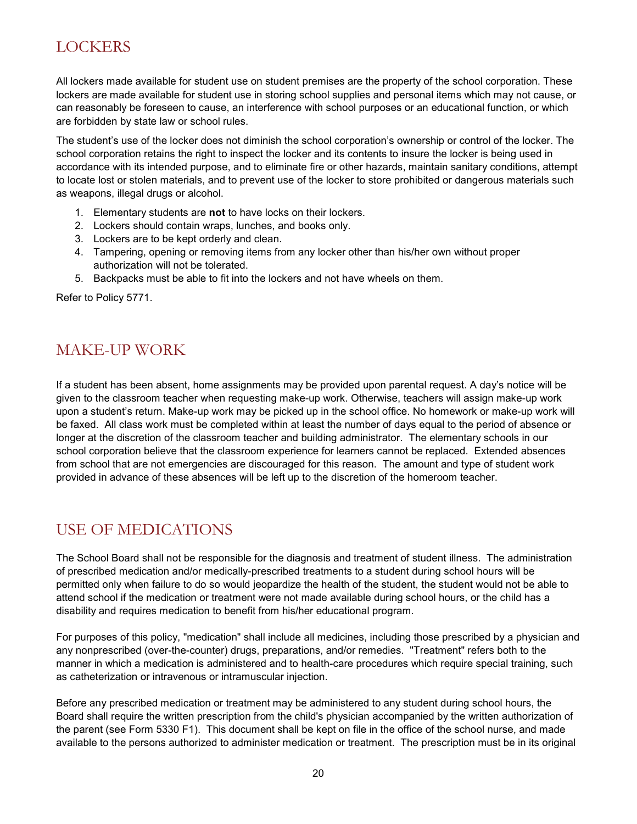### <span id="page-19-0"></span>**LOCKERS**

All lockers made available for student use on student premises are the property of the school corporation. These lockers are made available for student use in storing school supplies and personal items which may not cause, or can reasonably be foreseen to cause, an interference with school purposes or an educational function, or which are forbidden by state law or school rules.

The student's use of the locker does not diminish the school corporation's ownership or control of the locker. The school corporation retains the right to inspect the locker and its contents to insure the locker is being used in accordance with its intended purpose, and to eliminate fire or other hazards, maintain sanitary conditions, attempt to locate lost or stolen materials, and to prevent use of the locker to store prohibited or dangerous materials such as weapons, illegal drugs or alcohol.

- 1. Elementary students are **not** to have locks on their lockers.
- 2. Lockers should contain wraps, lunches, and books only.
- 3. Lockers are to be kept orderly and clean.
- 4. Tampering, opening or removing items from any locker other than his/her own without proper authorization will not be tolerated.
- 5. Backpacks must be able to fit into the lockers and not have wheels on them.

Refer to Policy 5771.

### <span id="page-19-1"></span>MAKE-UP WORK

If a student has been absent, home assignments may be provided upon parental request. A day's notice will be given to the classroom teacher when requesting make-up work. Otherwise, teachers will assign make-up work upon a student's return. Make-up work may be picked up in the school office. No homework or make-up work will be faxed. All class work must be completed within at least the number of days equal to the period of absence or longer at the discretion of the classroom teacher and building administrator. The elementary schools in our school corporation believe that the classroom experience for learners cannot be replaced. Extended absences from school that are not emergencies are discouraged for this reason. The amount and type of student work provided in advance of these absences will be left up to the discretion of the homeroom teacher.

### <span id="page-19-2"></span>USE OF MEDICATIONS

The School Board shall not be responsible for the diagnosis and treatment of student illness. The administration of prescribed medication and/or medically-prescribed treatments to a student during school hours will be permitted only when failure to do so would jeopardize the health of the student, the student would not be able to attend school if the medication or treatment were not made available during school hours, or the child has a disability and requires medication to benefit from his/her educational program.

For purposes of this policy, "medication" shall include all medicines, including those prescribed by a physician and any nonprescribed (over-the-counter) drugs, preparations, and/or remedies. "Treatment" refers both to the manner in which a medication is administered and to health-care procedures which require special training, such as catheterization or intravenous or intramuscular injection.

Before any prescribed medication or treatment may be administered to any student during school hours, the Board shall require the written prescription from the child's physician accompanied by the written authorization of the parent (see Form 5330 F1). This document shall be kept on file in the office of the school nurse, and made available to the persons authorized to administer medication or treatment. The prescription must be in its original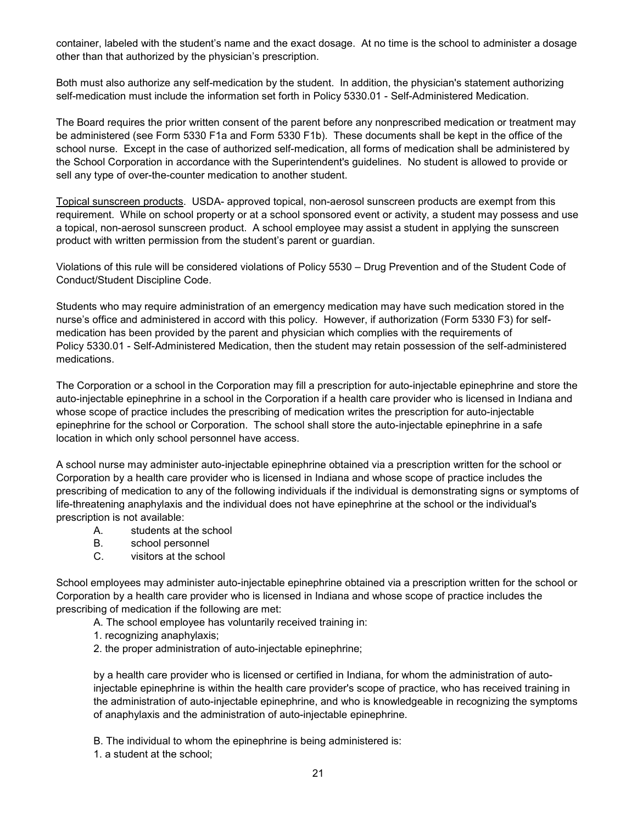container, labeled with the student's name and the exact dosage. At no time is the school to administer a dosage other than that authorized by the physician's prescription.

Both must also authorize any self-medication by the student. In addition, the physician's statement authorizing self-medication must include the information set forth in Policy 5330.01 - Self-Administered Medication.

The Board requires the prior written consent of the parent before any nonprescribed medication or treatment may be administered (see Form 5330 F1a and Form 5330 F1b). These documents shall be kept in the office of the school nurse. Except in the case of authorized self-medication, all forms of medication shall be administered by the School Corporation in accordance with the Superintendent's guidelines. No student is allowed to provide or sell any type of over-the-counter medication to another student.

Topical sunscreen products. USDA- approved topical, non-aerosol sunscreen products are exempt from this requirement. While on school property or at a school sponsored event or activity, a student may possess and use a topical, non-aerosol sunscreen product. A school employee may assist a student in applying the sunscreen product with written permission from the student's parent or guardian.

Violations of this rule will be considered violations of Policy 5530 – Drug Prevention and of the Student Code of Conduct/Student Discipline Code.

Students who may require administration of an emergency medication may have such medication stored in the nurse's office and administered in accord with this policy. However, if authorization (Form 5330 F3) for selfmedication has been provided by the parent and physician which complies with the requirements of Policy 5330.01 - Self-Administered Medication, then the student may retain possession of the self-administered medications.

The Corporation or a school in the Corporation may fill a prescription for auto-injectable epinephrine and store the auto-injectable epinephrine in a school in the Corporation if a health care provider who is licensed in Indiana and whose scope of practice includes the prescribing of medication writes the prescription for auto-injectable epinephrine for the school or Corporation. The school shall store the auto-injectable epinephrine in a safe location in which only school personnel have access.

A school nurse may administer auto-injectable epinephrine obtained via a prescription written for the school or Corporation by a health care provider who is licensed in Indiana and whose scope of practice includes the prescribing of medication to any of the following individuals if the individual is demonstrating signs or symptoms of life-threatening anaphylaxis and the individual does not have epinephrine at the school or the individual's prescription is not available:

- A. students at the school
- B. school personnel
- C. visitors at the school

School employees may administer auto-injectable epinephrine obtained via a prescription written for the school or Corporation by a health care provider who is licensed in Indiana and whose scope of practice includes the prescribing of medication if the following are met:

A. The school employee has voluntarily received training in:

- 1. recognizing anaphylaxis;
- 2. the proper administration of auto-injectable epinephrine;

by a health care provider who is licensed or certified in Indiana, for whom the administration of autoinjectable epinephrine is within the health care provider's scope of practice, who has received training in the administration of auto-injectable epinephrine, and who is knowledgeable in recognizing the symptoms of anaphylaxis and the administration of auto-injectable epinephrine.

B. The individual to whom the epinephrine is being administered is:

1. a student at the school;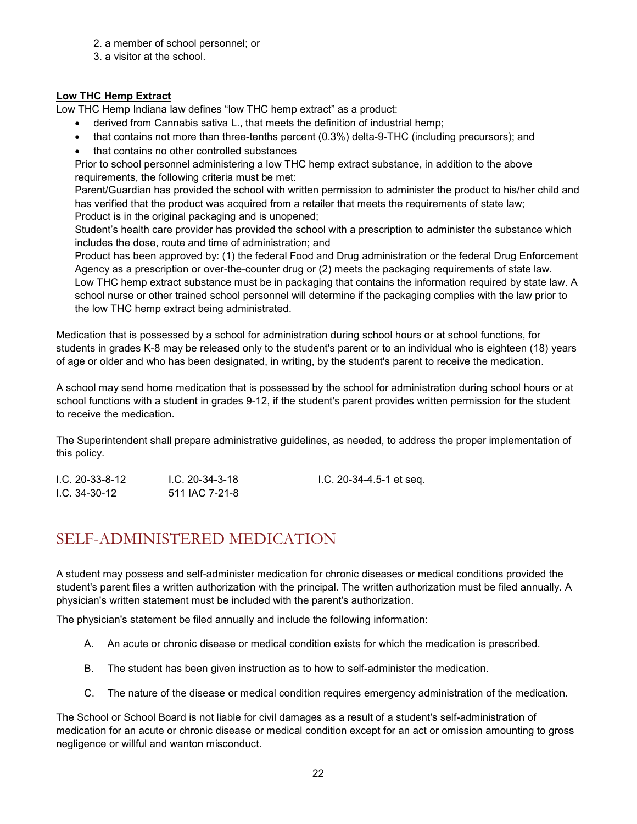- 2. a member of school personnel; or
- 3. a visitor at the school.

#### **Low THC Hemp Extract**

Low THC Hemp Indiana law defines "low THC hemp extract" as a product:

- derived from Cannabis sativa L., that meets the definition of industrial hemp;
- that contains not more than three-tenths percent (0.3%) delta-9-THC (including precursors); and
- that contains no other controlled substances

Prior to school personnel administering a low THC hemp extract substance, in addition to the above requirements, the following criteria must be met:

Parent/Guardian has provided the school with written permission to administer the product to his/her child and has verified that the product was acquired from a retailer that meets the requirements of state law; Product is in the original packaging and is unopened;

Student's health care provider has provided the school with a prescription to administer the substance which includes the dose, route and time of administration; and

Product has been approved by: (1) the federal Food and Drug administration or the federal Drug Enforcement Agency as a prescription or over-the-counter drug or (2) meets the packaging requirements of state law. Low THC hemp extract substance must be in packaging that contains the information required by state law. A school nurse or other trained school personnel will determine if the packaging complies with the law prior to the low THC hemp extract being administrated.

Medication that is possessed by a school for administration during school hours or at school functions, for students in grades K-8 may be released only to the student's parent or to an individual who is eighteen (18) years of age or older and who has been designated, in writing, by the student's parent to receive the medication.

A school may send home medication that is possessed by the school for administration during school hours or at school functions with a student in grades 9-12, if the student's parent provides written permission for the student to receive the medication.

The Superintendent shall prepare administrative guidelines, as needed, to address the proper implementation of this policy.

| $1.C. 20-33-8-12$ | I.C. 20-34-3-18 | I.C. 20-34-4.5-1 et seq. |
|-------------------|-----------------|--------------------------|
| $1.C. 34-30-12$   | 511 IAC 7-21-8  |                          |

### <span id="page-21-0"></span>SELF-ADMINISTERED MEDICATION

A student may possess and self-administer medication for chronic diseases or medical conditions provided the student's parent files a written authorization with the principal. The written authorization must be filed annually. A physician's written statement must be included with the parent's authorization.

The physician's statement be filed annually and include the following information:

- A. An acute or chronic disease or medical condition exists for which the medication is prescribed.
- B. The student has been given instruction as to how to self-administer the medication.
- C. The nature of the disease or medical condition requires emergency administration of the medication.

The School or School Board is not liable for civil damages as a result of a student's self-administration of medication for an acute or chronic disease or medical condition except for an act or omission amounting to gross negligence or willful and wanton misconduct.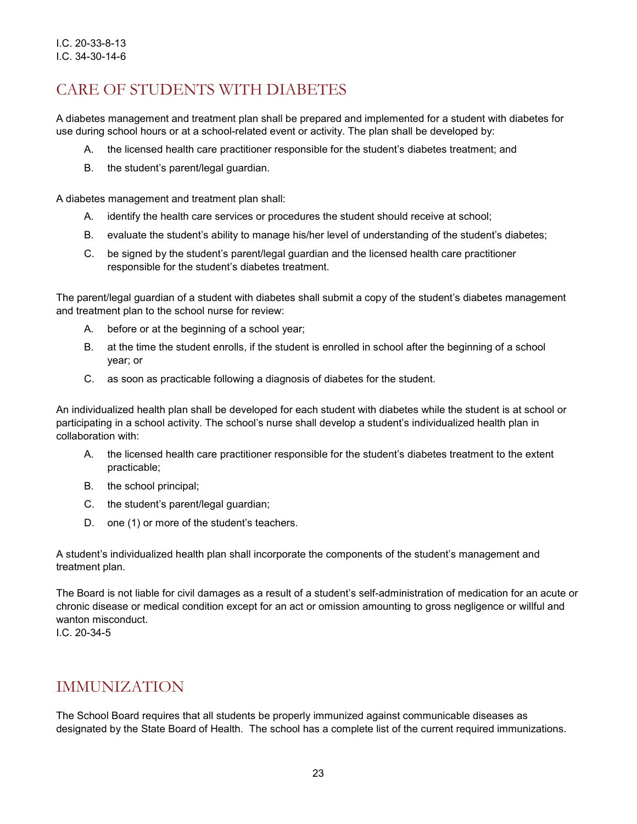### <span id="page-22-0"></span>CARE OF STUDENTS WITH DIABETES

A diabetes management and treatment plan shall be prepared and implemented for a student with diabetes for use during school hours or at a school-related event or activity. The plan shall be developed by:

- A. the licensed health care practitioner responsible for the student's diabetes treatment; and
- B. the student's parent/legal guardian.

A diabetes management and treatment plan shall:

- A. identify the health care services or procedures the student should receive at school;
- B. evaluate the student's ability to manage his/her level of understanding of the student's diabetes;
- C. be signed by the student's parent/legal guardian and the licensed health care practitioner responsible for the student's diabetes treatment.

The parent/legal guardian of a student with diabetes shall submit a copy of the student's diabetes management and treatment plan to the school nurse for review:

- A. before or at the beginning of a school year;
- B. at the time the student enrolls, if the student is enrolled in school after the beginning of a school year; or
- C. as soon as practicable following a diagnosis of diabetes for the student.

An individualized health plan shall be developed for each student with diabetes while the student is at school or participating in a school activity. The school's nurse shall develop a student's individualized health plan in collaboration with:

- A. the licensed health care practitioner responsible for the student's diabetes treatment to the extent practicable;
- B. the school principal;
- C. the student's parent/legal guardian;
- D. one (1) or more of the student's teachers.

A student's individualized health plan shall incorporate the components of the student's management and treatment plan.

The Board is not liable for civil damages as a result of a student's self-administration of medication for an acute or chronic disease or medical condition except for an act or omission amounting to gross negligence or willful and wanton misconduct.

I.C. 20-34-5

#### <span id="page-22-1"></span>IMMUNIZATION

The School Board requires that all students be properly immunized against communicable diseases as designated by the State Board of Health. The school has a complete list of the current required immunizations.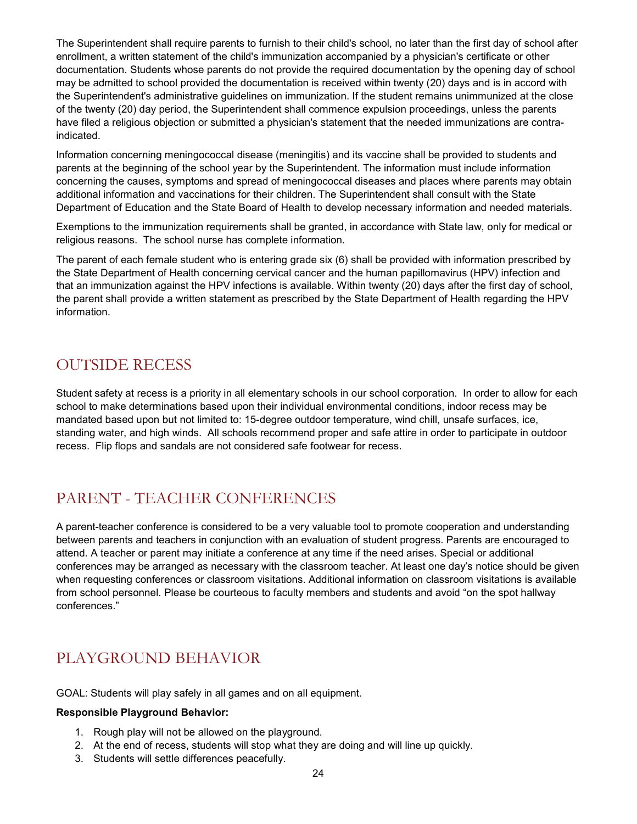The Superintendent shall require parents to furnish to their child's school, no later than the first day of school after enrollment, a written statement of the child's immunization accompanied by a physician's certificate or other documentation. Students whose parents do not provide the required documentation by the opening day of school may be admitted to school provided the documentation is received within twenty (20) days and is in accord with the Superintendent's administrative guidelines on immunization. If the student remains unimmunized at the close of the twenty (20) day period, the Superintendent shall commence expulsion proceedings, unless the parents have filed a religious objection or submitted a physician's statement that the needed immunizations are contraindicated.

Information concerning meningococcal disease (meningitis) and its vaccine shall be provided to students and parents at the beginning of the school year by the Superintendent. The information must include information concerning the causes, symptoms and spread of meningococcal diseases and places where parents may obtain additional information and vaccinations for their children. The Superintendent shall consult with the State Department of Education and the State Board of Health to develop necessary information and needed materials.

Exemptions to the immunization requirements shall be granted, in accordance with State law, only for medical or religious reasons. The school nurse has complete information.

The parent of each female student who is entering grade six (6) shall be provided with information prescribed by the State Department of Health concerning cervical cancer and the human papillomavirus (HPV) infection and that an immunization against the HPV infections is available. Within twenty (20) days after the first day of school, the parent shall provide a written statement as prescribed by the State Department of Health regarding the HPV information.

### <span id="page-23-0"></span>OUTSIDE RECESS

Student safety at recess is a priority in all elementary schools in our school corporation. In order to allow for each school to make determinations based upon their individual environmental conditions, indoor recess may be mandated based upon but not limited to: 15-degree outdoor temperature, wind chill, unsafe surfaces, ice, standing water, and high winds. All schools recommend proper and safe attire in order to participate in outdoor recess. Flip flops and sandals are not considered safe footwear for recess.

### <span id="page-23-1"></span>PARENT - TEACHER CONFERENCES

A parent-teacher conference is considered to be a very valuable tool to promote cooperation and understanding between parents and teachers in conjunction with an evaluation of student progress. Parents are encouraged to attend. A teacher or parent may initiate a conference at any time if the need arises. Special or additional conferences may be arranged as necessary with the classroom teacher. At least one day's notice should be given when requesting conferences or classroom visitations. Additional information on classroom visitations is available from school personnel. Please be courteous to faculty members and students and avoid "on the spot hallway conferences."

### <span id="page-23-2"></span>PLAYGROUND BEHAVIOR

GOAL: Students will play safely in all games and on all equipment.

#### **Responsible Playground Behavior:**

- 1. Rough play will not be allowed on the playground.
- 2. At the end of recess, students will stop what they are doing and will line up quickly.
- 3. Students will settle differences peacefully.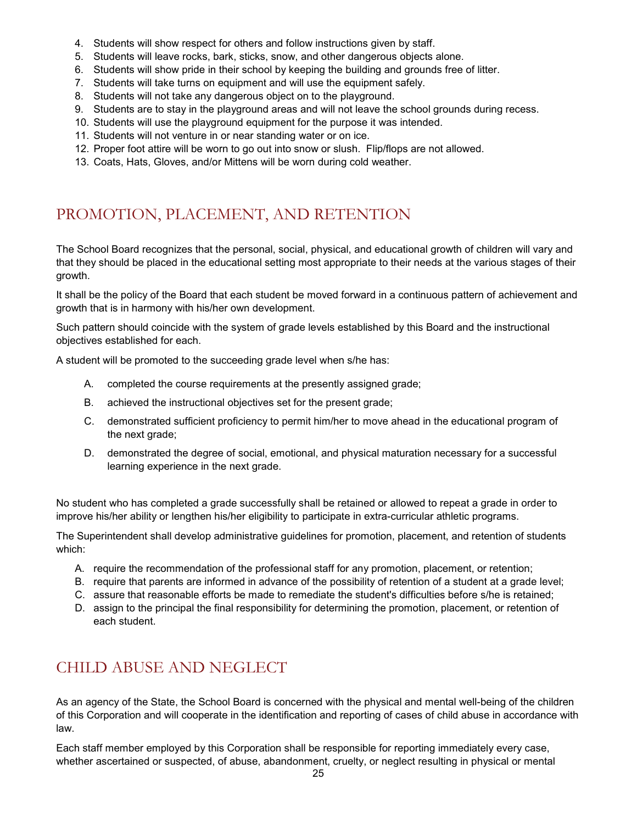- 4. Students will show respect for others and follow instructions given by staff.
- 5. Students will leave rocks, bark, sticks, snow, and other dangerous objects alone.
- 6. Students will show pride in their school by keeping the building and grounds free of litter.
- 7. Students will take turns on equipment and will use the equipment safely.
- 8. Students will not take any dangerous object on to the playground.
- 9. Students are to stay in the playground areas and will not leave the school grounds during recess.
- 10. Students will use the playground equipment for the purpose it was intended.
- 11. Students will not venture in or near standing water or on ice.
- 12. Proper foot attire will be worn to go out into snow or slush. Flip/flops are not allowed.
- 13. Coats, Hats, Gloves, and/or Mittens will be worn during cold weather.

### <span id="page-24-0"></span>PROMOTION, PLACEMENT, AND RETENTION

The School Board recognizes that the personal, social, physical, and educational growth of children will vary and that they should be placed in the educational setting most appropriate to their needs at the various stages of their growth.

It shall be the policy of the Board that each student be moved forward in a continuous pattern of achievement and growth that is in harmony with his/her own development.

Such pattern should coincide with the system of grade levels established by this Board and the instructional objectives established for each.

A student will be promoted to the succeeding grade level when s/he has:

- A. completed the course requirements at the presently assigned grade;
- B. achieved the instructional objectives set for the present grade;
- C. demonstrated sufficient proficiency to permit him/her to move ahead in the educational program of the next grade;
- D. demonstrated the degree of social, emotional, and physical maturation necessary for a successful learning experience in the next grade.

No student who has completed a grade successfully shall be retained or allowed to repeat a grade in order to improve his/her ability or lengthen his/her eligibility to participate in extra-curricular athletic programs.

The Superintendent shall develop administrative guidelines for promotion, placement, and retention of students which:

- A. require the recommendation of the professional staff for any promotion, placement, or retention;
- B. require that parents are informed in advance of the possibility of retention of a student at a grade level;
- C. assure that reasonable efforts be made to remediate the student's difficulties before s/he is retained;
- D. assign to the principal the final responsibility for determining the promotion, placement, or retention of each student.

### <span id="page-24-1"></span>CHILD ABUSE AND NEGLECT

As an agency of the State, the School Board is concerned with the physical and mental well-being of the children of this Corporation and will cooperate in the identification and reporting of cases of child abuse in accordance with law.

Each staff member employed by this Corporation shall be responsible for reporting immediately every case, whether ascertained or suspected, of abuse, abandonment, cruelty, or neglect resulting in physical or mental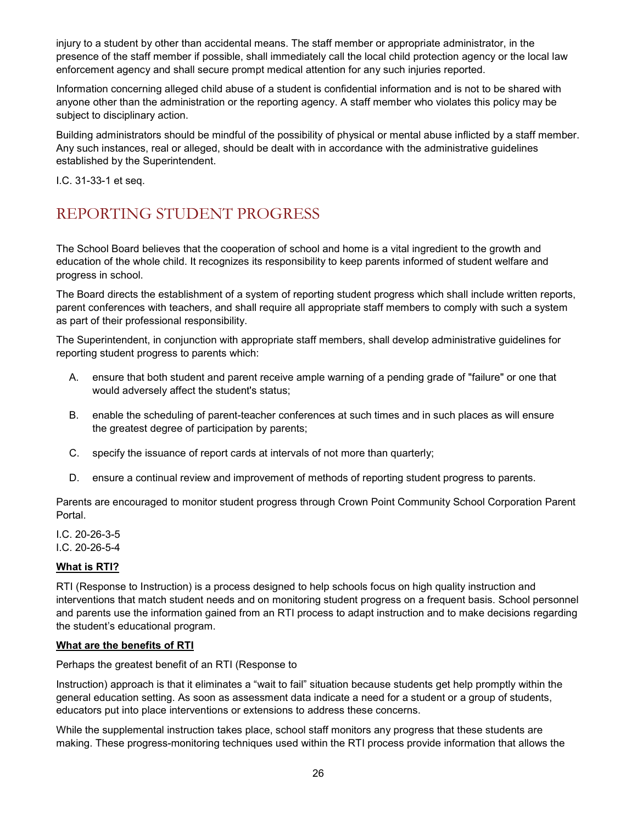injury to a student by other than accidental means. The staff member or appropriate administrator, in the presence of the staff member if possible, shall immediately call the local child protection agency or the local law enforcement agency and shall secure prompt medical attention for any such injuries reported.

Information concerning alleged child abuse of a student is confidential information and is not to be shared with anyone other than the administration or the reporting agency. A staff member who violates this policy may be subject to disciplinary action.

Building administrators should be mindful of the possibility of physical or mental abuse inflicted by a staff member. Any such instances, real or alleged, should be dealt with in accordance with the administrative guidelines established by the Superintendent.

I.C. 31-33-1 et seq.

### <span id="page-25-0"></span>REPORTING STUDENT PROGRESS

The School Board believes that the cooperation of school and home is a vital ingredient to the growth and education of the whole child. It recognizes its responsibility to keep parents informed of student welfare and progress in school.

The Board directs the establishment of a system of reporting student progress which shall include written reports, parent conferences with teachers, and shall require all appropriate staff members to comply with such a system as part of their professional responsibility.

The Superintendent, in conjunction with appropriate staff members, shall develop administrative guidelines for reporting student progress to parents which:

- A. ensure that both student and parent receive ample warning of a pending grade of "failure" or one that would adversely affect the student's status;
- B. enable the scheduling of parent-teacher conferences at such times and in such places as will ensure the greatest degree of participation by parents;
- C. specify the issuance of report cards at intervals of not more than quarterly;
- D. ensure a continual review and improvement of methods of reporting student progress to parents.

Parents are encouraged to monitor student progress through Crown Point Community School Corporation Parent Portal.

I.C. 20-26-3-5

I.C. 20-26-5-4

#### **What is RTI?**

RTI (Response to Instruction) is a process designed to help schools focus on high quality instruction and interventions that match student needs and on monitoring student progress on a frequent basis. School personnel and parents use the information gained from an RTI process to adapt instruction and to make decisions regarding the student's educational program.

#### **What are the benefits of RTI**

Perhaps the greatest benefit of an RTI (Response to

Instruction) approach is that it eliminates a "wait to fail" situation because students get help promptly within the general education setting. As soon as assessment data indicate a need for a student or a group of students, educators put into place interventions or extensions to address these concerns.

While the supplemental instruction takes place, school staff monitors any progress that these students are making. These progress-monitoring techniques used within the RTI process provide information that allows the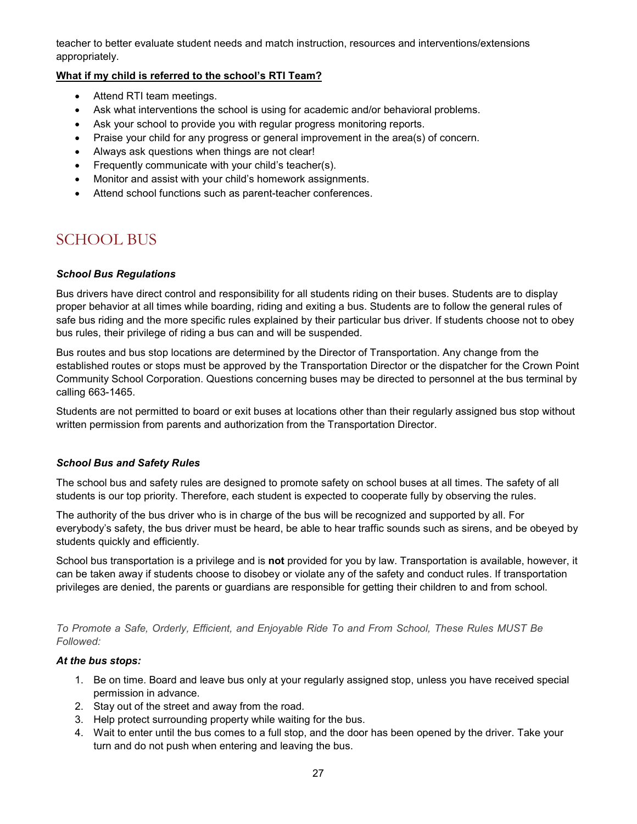teacher to better evaluate student needs and match instruction, resources and interventions/extensions appropriately.

#### **What if my child is referred to the school's RTI Team?**

- Attend RTI team meetings.
- Ask what interventions the school is using for academic and/or behavioral problems.
- Ask your school to provide you with regular progress monitoring reports.
- Praise your child for any progress or general improvement in the area(s) of concern.
- Always ask questions when things are not clear!
- Frequently communicate with your child's teacher(s).
- Monitor and assist with your child's homework assignments.
- Attend school functions such as parent-teacher conferences.

### <span id="page-26-0"></span>SCHOOL BUS

#### *School Bus Regulations*

Bus drivers have direct control and responsibility for all students riding on their buses. Students are to display proper behavior at all times while boarding, riding and exiting a bus. Students are to follow the general rules of safe bus riding and the more specific rules explained by their particular bus driver. If students choose not to obey bus rules, their privilege of riding a bus can and will be suspended.

Bus routes and bus stop locations are determined by the Director of Transportation. Any change from the established routes or stops must be approved by the Transportation Director or the dispatcher for the Crown Point Community School Corporation. Questions concerning buses may be directed to personnel at the bus terminal by calling 663-1465.

Students are not permitted to board or exit buses at locations other than their regularly assigned bus stop without written permission from parents and authorization from the Transportation Director.

#### *School Bus and Safety Rules*

The school bus and safety rules are designed to promote safety on school buses at all times. The safety of all students is our top priority. Therefore, each student is expected to cooperate fully by observing the rules.

The authority of the bus driver who is in charge of the bus will be recognized and supported by all. For everybody's safety, the bus driver must be heard, be able to hear traffic sounds such as sirens, and be obeyed by students quickly and efficiently.

School bus transportation is a privilege and is **not** provided for you by law. Transportation is available, however, it can be taken away if students choose to disobey or violate any of the safety and conduct rules. If transportation privileges are denied, the parents or guardians are responsible for getting their children to and from school.

*To Promote a Safe, Orderly, Efficient, and Enjoyable Ride To and From School, These Rules MUST Be Followed:*

#### *At the bus stops:*

- 1. Be on time. Board and leave bus only at your regularly assigned stop, unless you have received special permission in advance.
- 2. Stay out of the street and away from the road.
- 3. Help protect surrounding property while waiting for the bus.
- 4. Wait to enter until the bus comes to a full stop, and the door has been opened by the driver. Take your turn and do not push when entering and leaving the bus.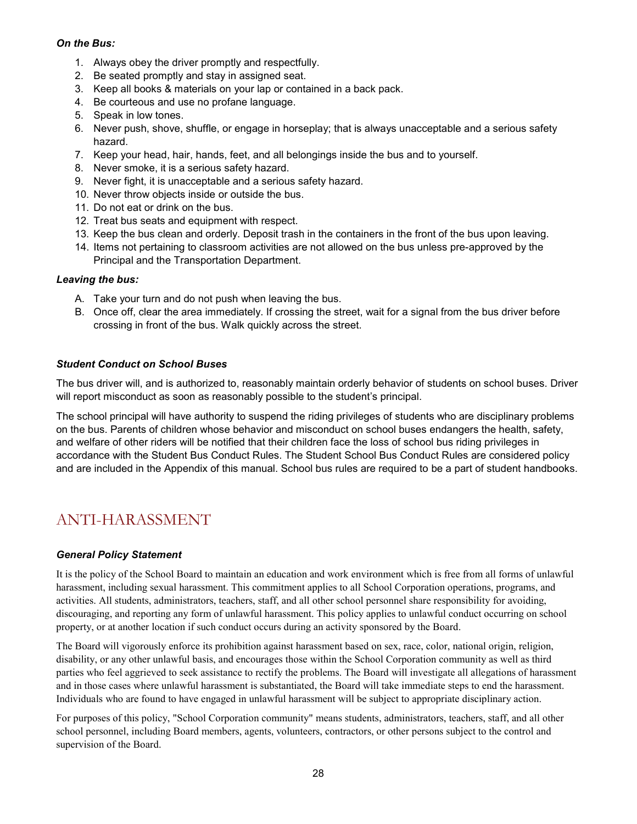#### *On the Bus:*

- 1. Always obey the driver promptly and respectfully.
- 2. Be seated promptly and stay in assigned seat.
- 3. Keep all books & materials on your lap or contained in a back pack.
- 4. Be courteous and use no profane language.
- 5. Speak in low tones.
- 6. Never push, shove, shuffle, or engage in horseplay; that is always unacceptable and a serious safety hazard.
- 7. Keep your head, hair, hands, feet, and all belongings inside the bus and to yourself.
- 8. Never smoke, it is a serious safety hazard.
- 9. Never fight, it is unacceptable and a serious safety hazard.
- 10. Never throw objects inside or outside the bus.
- 11. Do not eat or drink on the bus.
- 12. Treat bus seats and equipment with respect.
- 13. Keep the bus clean and orderly. Deposit trash in the containers in the front of the bus upon leaving.
- 14. Items not pertaining to classroom activities are not allowed on the bus unless pre-approved by the Principal and the Transportation Department.

#### *Leaving the bus:*

- A. Take your turn and do not push when leaving the bus.
- B. Once off, clear the area immediately. If crossing the street, wait for a signal from the bus driver before crossing in front of the bus. Walk quickly across the street.

#### *Student Conduct on School Buses*

The bus driver will, and is authorized to, reasonably maintain orderly behavior of students on school buses. Driver will report misconduct as soon as reasonably possible to the student's principal.

The school principal will have authority to suspend the riding privileges of students who are disciplinary problems on the bus. Parents of children whose behavior and misconduct on school buses endangers the health, safety, and welfare of other riders will be notified that their children face the loss of school bus riding privileges in accordance with the Student Bus Conduct Rules. The Student School Bus Conduct Rules are considered policy and are included in the Appendix of this manual. School bus rules are required to be a part of student handbooks.

### <span id="page-27-0"></span>ANTI-HARASSMENT

#### *General Policy Statement*

It is the policy of the School Board to maintain an education and work environment which is free from all forms of unlawful harassment, including sexual harassment. This commitment applies to all School Corporation operations, programs, and activities. All students, administrators, teachers, staff, and all other school personnel share responsibility for avoiding, discouraging, and reporting any form of unlawful harassment. This policy applies to unlawful conduct occurring on school property, or at another location if such conduct occurs during an activity sponsored by the Board.

The Board will vigorously enforce its prohibition against harassment based on sex, race, color, national origin, religion, disability, or any other unlawful basis, and encourages those within the School Corporation community as well as third parties who feel aggrieved to seek assistance to rectify the problems. The Board will investigate all allegations of harassment and in those cases where unlawful harassment is substantiated, the Board will take immediate steps to end the harassment. Individuals who are found to have engaged in unlawful harassment will be subject to appropriate disciplinary action.

For purposes of this policy, "School Corporation community" means students, administrators, teachers, staff, and all other school personnel, including Board members, agents, volunteers, contractors, or other persons subject to the control and supervision of the Board.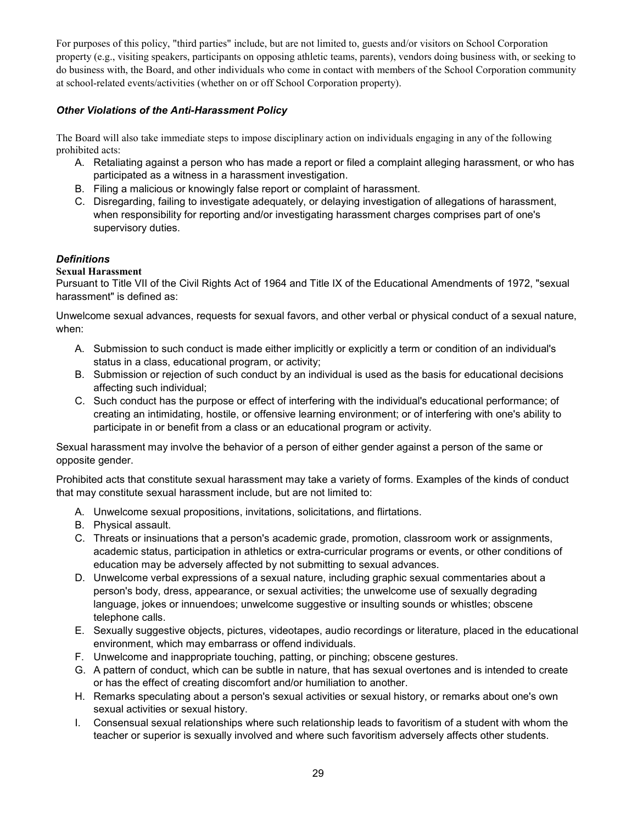For purposes of this policy, "third parties" include, but are not limited to, guests and/or visitors on School Corporation property (e.g., visiting speakers, participants on opposing athletic teams, parents), vendors doing business with, or seeking to do business with, the Board, and other individuals who come in contact with members of the School Corporation community at school-related events/activities (whether on or off School Corporation property).

#### *Other Violations of the Anti-Harassment Policy*

The Board will also take immediate steps to impose disciplinary action on individuals engaging in any of the following prohibited acts:

- A. Retaliating against a person who has made a report or filed a complaint alleging harassment, or who has participated as a witness in a harassment investigation.
- B. Filing a malicious or knowingly false report or complaint of harassment.
- C. Disregarding, failing to investigate adequately, or delaying investigation of allegations of harassment, when responsibility for reporting and/or investigating harassment charges comprises part of one's supervisory duties.

#### *Definitions*

#### **Sexual Harassment**

Pursuant to Title VII of the Civil Rights Act of 1964 and Title IX of the Educational Amendments of 1972, "sexual harassment" is defined as:

Unwelcome sexual advances, requests for sexual favors, and other verbal or physical conduct of a sexual nature, when:

- A. Submission to such conduct is made either implicitly or explicitly a term or condition of an individual's status in a class, educational program, or activity;
- B. Submission or rejection of such conduct by an individual is used as the basis for educational decisions affecting such individual;
- C. Such conduct has the purpose or effect of interfering with the individual's educational performance; of creating an intimidating, hostile, or offensive learning environment; or of interfering with one's ability to participate in or benefit from a class or an educational program or activity.

Sexual harassment may involve the behavior of a person of either gender against a person of the same or opposite gender.

Prohibited acts that constitute sexual harassment may take a variety of forms. Examples of the kinds of conduct that may constitute sexual harassment include, but are not limited to:

- A. Unwelcome sexual propositions, invitations, solicitations, and flirtations.
- B. Physical assault.
- C. Threats or insinuations that a person's academic grade, promotion, classroom work or assignments, academic status, participation in athletics or extra-curricular programs or events, or other conditions of education may be adversely affected by not submitting to sexual advances.
- D. Unwelcome verbal expressions of a sexual nature, including graphic sexual commentaries about a person's body, dress, appearance, or sexual activities; the unwelcome use of sexually degrading language, jokes or innuendoes; unwelcome suggestive or insulting sounds or whistles; obscene telephone calls.
- E. Sexually suggestive objects, pictures, videotapes, audio recordings or literature, placed in the educational environment, which may embarrass or offend individuals.
- F. Unwelcome and inappropriate touching, patting, or pinching; obscene gestures.
- G. A pattern of conduct, which can be subtle in nature, that has sexual overtones and is intended to create or has the effect of creating discomfort and/or humiliation to another.
- H. Remarks speculating about a person's sexual activities or sexual history, or remarks about one's own sexual activities or sexual history.
- I. Consensual sexual relationships where such relationship leads to favoritism of a student with whom the teacher or superior is sexually involved and where such favoritism adversely affects other students.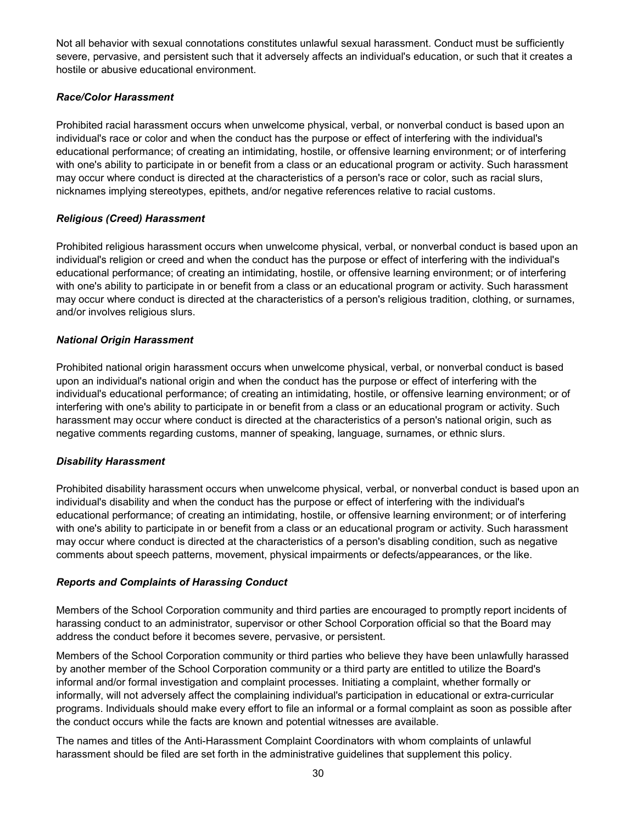Not all behavior with sexual connotations constitutes unlawful sexual harassment. Conduct must be sufficiently severe, pervasive, and persistent such that it adversely affects an individual's education, or such that it creates a hostile or abusive educational environment.

#### *Race/Color Harassment*

Prohibited racial harassment occurs when unwelcome physical, verbal, or nonverbal conduct is based upon an individual's race or color and when the conduct has the purpose or effect of interfering with the individual's educational performance; of creating an intimidating, hostile, or offensive learning environment; or of interfering with one's ability to participate in or benefit from a class or an educational program or activity. Such harassment may occur where conduct is directed at the characteristics of a person's race or color, such as racial slurs, nicknames implying stereotypes, epithets, and/or negative references relative to racial customs.

#### *Religious (Creed) Harassment*

Prohibited religious harassment occurs when unwelcome physical, verbal, or nonverbal conduct is based upon an individual's religion or creed and when the conduct has the purpose or effect of interfering with the individual's educational performance; of creating an intimidating, hostile, or offensive learning environment; or of interfering with one's ability to participate in or benefit from a class or an educational program or activity. Such harassment may occur where conduct is directed at the characteristics of a person's religious tradition, clothing, or surnames, and/or involves religious slurs.

#### *National Origin Harassment*

Prohibited national origin harassment occurs when unwelcome physical, verbal, or nonverbal conduct is based upon an individual's national origin and when the conduct has the purpose or effect of interfering with the individual's educational performance; of creating an intimidating, hostile, or offensive learning environment; or of interfering with one's ability to participate in or benefit from a class or an educational program or activity. Such harassment may occur where conduct is directed at the characteristics of a person's national origin, such as negative comments regarding customs, manner of speaking, language, surnames, or ethnic slurs.

#### *Disability Harassment*

Prohibited disability harassment occurs when unwelcome physical, verbal, or nonverbal conduct is based upon an individual's disability and when the conduct has the purpose or effect of interfering with the individual's educational performance; of creating an intimidating, hostile, or offensive learning environment; or of interfering with one's ability to participate in or benefit from a class or an educational program or activity. Such harassment may occur where conduct is directed at the characteristics of a person's disabling condition, such as negative comments about speech patterns, movement, physical impairments or defects/appearances, or the like.

#### *Reports and Complaints of Harassing Conduct*

Members of the School Corporation community and third parties are encouraged to promptly report incidents of harassing conduct to an administrator, supervisor or other School Corporation official so that the Board may address the conduct before it becomes severe, pervasive, or persistent.

Members of the School Corporation community or third parties who believe they have been unlawfully harassed by another member of the School Corporation community or a third party are entitled to utilize the Board's informal and/or formal investigation and complaint processes. Initiating a complaint, whether formally or informally, will not adversely affect the complaining individual's participation in educational or extra-curricular programs. Individuals should make every effort to file an informal or a formal complaint as soon as possible after the conduct occurs while the facts are known and potential witnesses are available.

The names and titles of the Anti-Harassment Complaint Coordinators with whom complaints of unlawful harassment should be filed are set forth in the administrative guidelines that supplement this policy.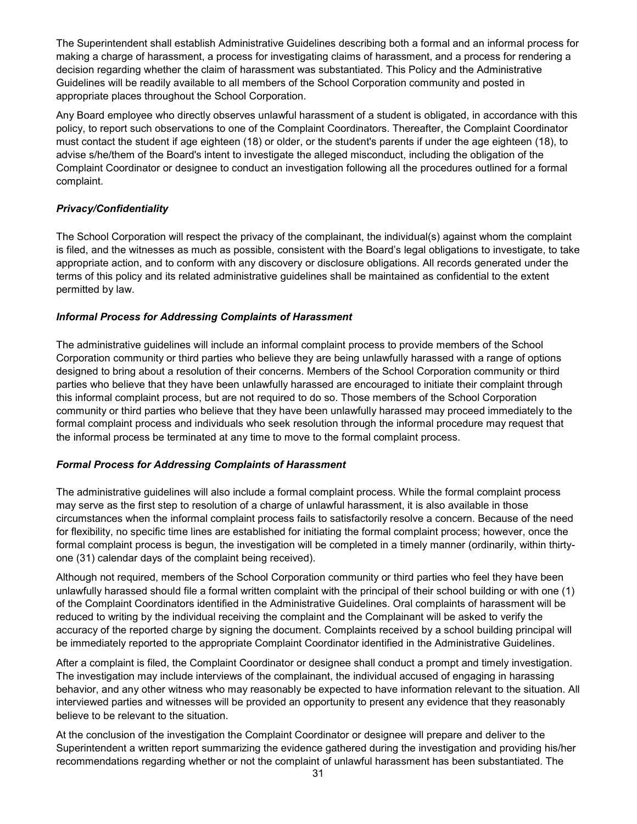The Superintendent shall establish Administrative Guidelines describing both a formal and an informal process for making a charge of harassment, a process for investigating claims of harassment, and a process for rendering a decision regarding whether the claim of harassment was substantiated. This Policy and the Administrative Guidelines will be readily available to all members of the School Corporation community and posted in appropriate places throughout the School Corporation.

Any Board employee who directly observes unlawful harassment of a student is obligated, in accordance with this policy, to report such observations to one of the Complaint Coordinators. Thereafter, the Complaint Coordinator must contact the student if age eighteen (18) or older, or the student's parents if under the age eighteen (18), to advise s/he/them of the Board's intent to investigate the alleged misconduct, including the obligation of the Complaint Coordinator or designee to conduct an investigation following all the procedures outlined for a formal complaint.

#### *Privacy/Confidentiality*

The School Corporation will respect the privacy of the complainant, the individual(s) against whom the complaint is filed, and the witnesses as much as possible, consistent with the Board's legal obligations to investigate, to take appropriate action, and to conform with any discovery or disclosure obligations. All records generated under the terms of this policy and its related administrative guidelines shall be maintained as confidential to the extent permitted by law.

#### *Informal Process for Addressing Complaints of Harassment*

The administrative guidelines will include an informal complaint process to provide members of the School Corporation community or third parties who believe they are being unlawfully harassed with a range of options designed to bring about a resolution of their concerns. Members of the School Corporation community or third parties who believe that they have been unlawfully harassed are encouraged to initiate their complaint through this informal complaint process, but are not required to do so. Those members of the School Corporation community or third parties who believe that they have been unlawfully harassed may proceed immediately to the formal complaint process and individuals who seek resolution through the informal procedure may request that the informal process be terminated at any time to move to the formal complaint process.

#### *Formal Process for Addressing Complaints of Harassment*

The administrative guidelines will also include a formal complaint process. While the formal complaint process may serve as the first step to resolution of a charge of unlawful harassment, it is also available in those circumstances when the informal complaint process fails to satisfactorily resolve a concern. Because of the need for flexibility, no specific time lines are established for initiating the formal complaint process; however, once the formal complaint process is begun, the investigation will be completed in a timely manner (ordinarily, within thirtyone (31) calendar days of the complaint being received).

Although not required, members of the School Corporation community or third parties who feel they have been unlawfully harassed should file a formal written complaint with the principal of their school building or with one (1) of the Complaint Coordinators identified in the Administrative Guidelines. Oral complaints of harassment will be reduced to writing by the individual receiving the complaint and the Complainant will be asked to verify the accuracy of the reported charge by signing the document. Complaints received by a school building principal will be immediately reported to the appropriate Complaint Coordinator identified in the Administrative Guidelines.

After a complaint is filed, the Complaint Coordinator or designee shall conduct a prompt and timely investigation. The investigation may include interviews of the complainant, the individual accused of engaging in harassing behavior, and any other witness who may reasonably be expected to have information relevant to the situation. All interviewed parties and witnesses will be provided an opportunity to present any evidence that they reasonably believe to be relevant to the situation.

At the conclusion of the investigation the Complaint Coordinator or designee will prepare and deliver to the Superintendent a written report summarizing the evidence gathered during the investigation and providing his/her recommendations regarding whether or not the complaint of unlawful harassment has been substantiated. The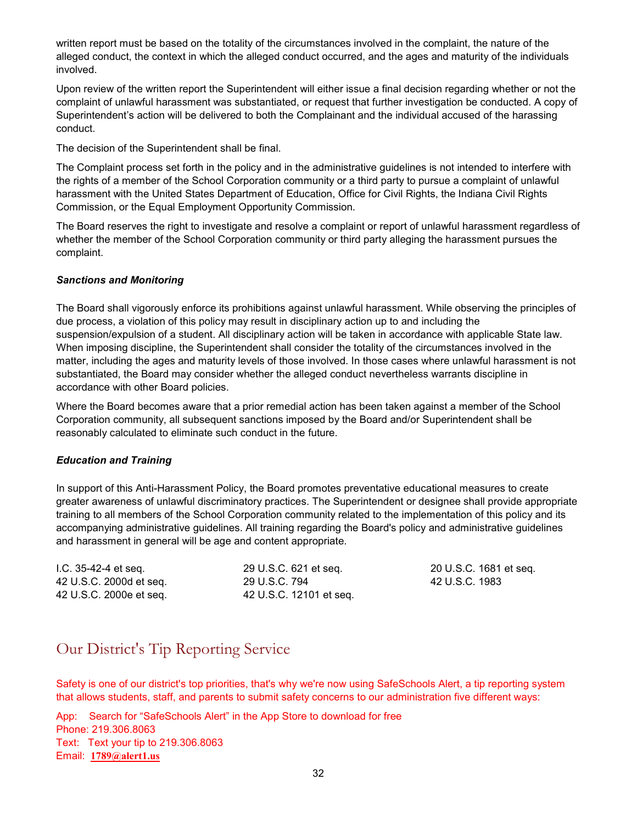written report must be based on the totality of the circumstances involved in the complaint, the nature of the alleged conduct, the context in which the alleged conduct occurred, and the ages and maturity of the individuals involved.

Upon review of the written report the Superintendent will either issue a final decision regarding whether or not the complaint of unlawful harassment was substantiated, or request that further investigation be conducted. A copy of Superintendent's action will be delivered to both the Complainant and the individual accused of the harassing conduct.

The decision of the Superintendent shall be final.

The Complaint process set forth in the policy and in the administrative guidelines is not intended to interfere with the rights of a member of the School Corporation community or a third party to pursue a complaint of unlawful harassment with the United States Department of Education, Office for Civil Rights, the Indiana Civil Rights Commission, or the Equal Employment Opportunity Commission.

The Board reserves the right to investigate and resolve a complaint or report of unlawful harassment regardless of whether the member of the School Corporation community or third party alleging the harassment pursues the complaint.

#### *Sanctions and Monitoring*

The Board shall vigorously enforce its prohibitions against unlawful harassment. While observing the principles of due process, a violation of this policy may result in disciplinary action up to and including the suspension/expulsion of a student. All disciplinary action will be taken in accordance with applicable State law. When imposing discipline, the Superintendent shall consider the totality of the circumstances involved in the matter, including the ages and maturity levels of those involved. In those cases where unlawful harassment is not substantiated, the Board may consider whether the alleged conduct nevertheless warrants discipline in accordance with other Board policies.

Where the Board becomes aware that a prior remedial action has been taken against a member of the School Corporation community, all subsequent sanctions imposed by the Board and/or Superintendent shall be reasonably calculated to eliminate such conduct in the future.

#### *Education and Training*

In support of this Anti-Harassment Policy, the Board promotes preventative educational measures to create greater awareness of unlawful discriminatory practices. The Superintendent or designee shall provide appropriate training to all members of the School Corporation community related to the implementation of this policy and its accompanying administrative guidelines. All training regarding the Board's policy and administrative guidelines and harassment in general will be age and content appropriate.

I.C. 35-42-4 et seq. 42 U.S.C. 2000d et seq. 42 U.S.C. 2000e et seq.

29 U.S.C. 621 et seq. 29 U.S.C. 794 42 U.S.C. 12101 et seq.

20 U.S.C. 1681 et seq. 42 U.S.C. 1983

### <span id="page-31-0"></span>Our District's Tip Reporting Service

Safety is one of our district's top priorities, that's why we're now using SafeSchools Alert, a tip reporting system that allows students, staff, and parents to submit safety concerns to our administration five different ways:

App: Search for "SafeSchools Alert" in the App Store to download for free Phone: 219.306.8063 Text: Text your tip to 219.306.8063 Email: **[1789@alert1.us](mailto:1789@alert1.us)**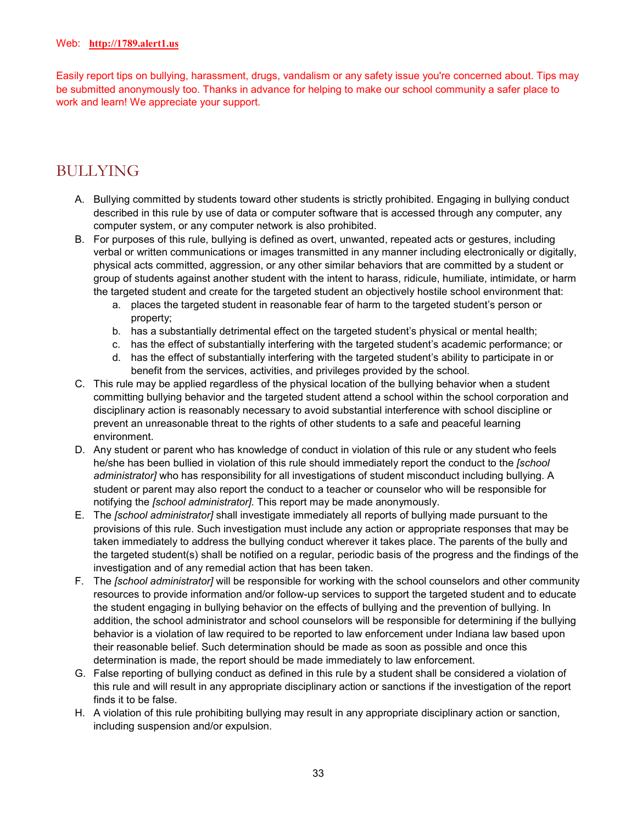Easily report tips on bullying, harassment, drugs, vandalism or any safety issue you're concerned about. Tips may be submitted anonymously too. Thanks in advance for helping to make our school community a safer place to work and learn! We appreciate your support.

### <span id="page-32-0"></span>BULLYING

- A. Bullying committed by students toward other students is strictly prohibited. Engaging in bullying conduct described in this rule by use of data or computer software that is accessed through any computer, any computer system, or any computer network is also prohibited.
- B. For purposes of this rule, bullying is defined as overt, unwanted, repeated acts or gestures, including verbal or written communications or images transmitted in any manner including electronically or digitally, physical acts committed, aggression, or any other similar behaviors that are committed by a student or group of students against another student with the intent to harass, ridicule, humiliate, intimidate, or harm the targeted student and create for the targeted student an objectively hostile school environment that:
	- a. places the targeted student in reasonable fear of harm to the targeted student's person or property;
	- b. has a substantially detrimental effect on the targeted student's physical or mental health;
	- c. has the effect of substantially interfering with the targeted student's academic performance; or
	- d. has the effect of substantially interfering with the targeted student's ability to participate in or benefit from the services, activities, and privileges provided by the school.
- C. This rule may be applied regardless of the physical location of the bullying behavior when a student committing bullying behavior and the targeted student attend a school within the school corporation and disciplinary action is reasonably necessary to avoid substantial interference with school discipline or prevent an unreasonable threat to the rights of other students to a safe and peaceful learning environment.
- D. Any student or parent who has knowledge of conduct in violation of this rule or any student who feels he/she has been bullied in violation of this rule should immediately report the conduct to the *[school administrator]* who has responsibility for all investigations of student misconduct including bullying. A student or parent may also report the conduct to a teacher or counselor who will be responsible for notifying the *[school administrator]*. This report may be made anonymously.
- E. The *[school administrator]* shall investigate immediately all reports of bullying made pursuant to the provisions of this rule. Such investigation must include any action or appropriate responses that may be taken immediately to address the bullying conduct wherever it takes place. The parents of the bully and the targeted student(s) shall be notified on a regular, periodic basis of the progress and the findings of the investigation and of any remedial action that has been taken.
- F. The *[school administrator]* will be responsible for working with the school counselors and other community resources to provide information and/or follow-up services to support the targeted student and to educate the student engaging in bullying behavior on the effects of bullying and the prevention of bullying. In addition, the school administrator and school counselors will be responsible for determining if the bullying behavior is a violation of law required to be reported to law enforcement under Indiana law based upon their reasonable belief. Such determination should be made as soon as possible and once this determination is made, the report should be made immediately to law enforcement.
- G. False reporting of bullying conduct as defined in this rule by a student shall be considered a violation of this rule and will result in any appropriate disciplinary action or sanctions if the investigation of the report finds it to be false.
- H. A violation of this rule prohibiting bullying may result in any appropriate disciplinary action or sanction, including suspension and/or expulsion.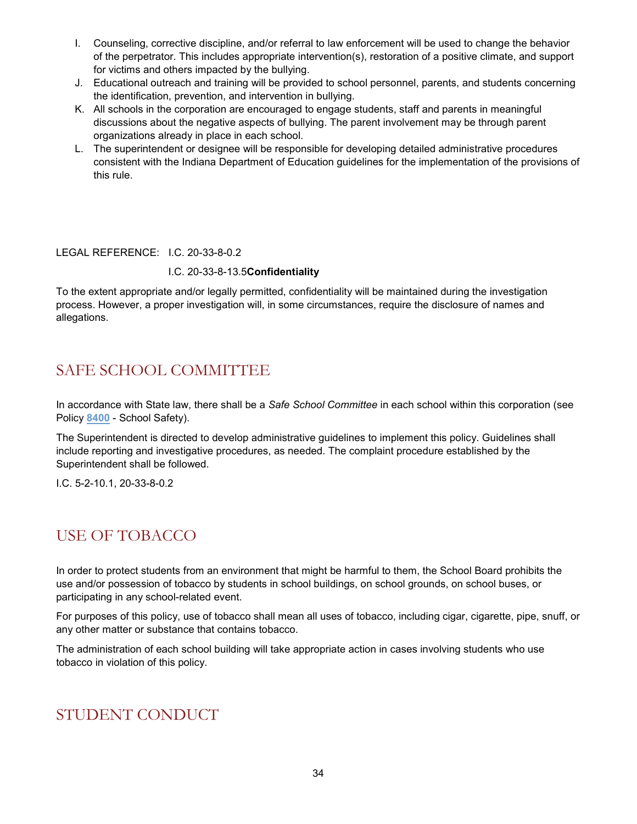- I. Counseling, corrective discipline, and/or referral to law enforcement will be used to change the behavior of the perpetrator. This includes appropriate intervention(s), restoration of a positive climate, and support for victims and others impacted by the bullying.
- J. Educational outreach and training will be provided to school personnel, parents, and students concerning the identification, prevention, and intervention in bullying.
- K. All schools in the corporation are encouraged to engage students, staff and parents in meaningful discussions about the negative aspects of bullying. The parent involvement may be through parent organizations already in place in each school.
- L. The superintendent or designee will be responsible for developing detailed administrative procedures consistent with the Indiana Department of Education guidelines for the implementation of the provisions of this rule.

#### LEGAL REFERENCE: I.C. 20-33-8-0.2

#### I.C. 20-33-8-13.5**Confidentiality**

To the extent appropriate and/or legally permitted, confidentiality will be maintained during the investigation process. However, a proper investigation will, in some circumstances, require the disclosure of names and allegations.

### <span id="page-33-0"></span>SAFE SCHOOL COMMITTEE

In accordance with State law, there shall be a *Safe School Committee* in each school within this corporation (see Policy **[8400](http://www.neola.com/crownpoint-in/search/policies/po8400.htm)** - School Safety).

The Superintendent is directed to develop administrative guidelines to implement this policy. Guidelines shall include reporting and investigative procedures, as needed. The complaint procedure established by the Superintendent shall be followed.

I.C. 5-2-10.1, 20-33-8-0.2

### <span id="page-33-1"></span>USE OF TOBACCO

In order to protect students from an environment that might be harmful to them, the School Board prohibits the use and/or possession of tobacco by students in school buildings, on school grounds, on school buses, or participating in any school-related event.

For purposes of this policy, use of tobacco shall mean all uses of tobacco, including cigar, cigarette, pipe, snuff, or any other matter or substance that contains tobacco.

The administration of each school building will take appropriate action in cases involving students who use tobacco in violation of this policy.

### <span id="page-33-2"></span>STUDENT CONDUCT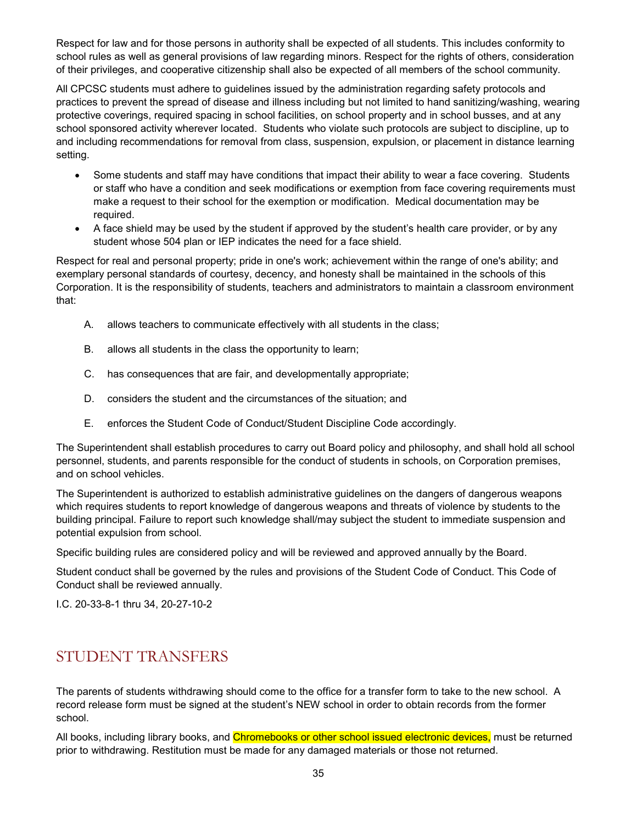Respect for law and for those persons in authority shall be expected of all students. This includes conformity to school rules as well as general provisions of law regarding minors. Respect for the rights of others, consideration of their privileges, and cooperative citizenship shall also be expected of all members of the school community.

All CPCSC students must adhere to guidelines issued by the administration regarding safety protocols and practices to prevent the spread of disease and illness including but not limited to hand sanitizing/washing, wearing protective coverings, required spacing in school facilities, on school property and in school busses, and at any school sponsored activity wherever located. Students who violate such protocols are subject to discipline, up to and including recommendations for removal from class, suspension, expulsion, or placement in distance learning setting.

- Some students and staff may have conditions that impact their ability to wear a face covering. Students or staff who have a condition and seek modifications or exemption from face covering requirements must make a request to their school for the exemption or modification. Medical documentation may be required.
- A face shield may be used by the student if approved by the student's health care provider, or by any student whose 504 plan or IEP indicates the need for a face shield.

Respect for real and personal property; pride in one's work; achievement within the range of one's ability; and exemplary personal standards of courtesy, decency, and honesty shall be maintained in the schools of this Corporation. It is the responsibility of students, teachers and administrators to maintain a classroom environment that:

- A. allows teachers to communicate effectively with all students in the class;
- B. allows all students in the class the opportunity to learn;
- C. has consequences that are fair, and developmentally appropriate;
- D. considers the student and the circumstances of the situation; and
- E. enforces the Student Code of Conduct/Student Discipline Code accordingly.

The Superintendent shall establish procedures to carry out Board policy and philosophy, and shall hold all school personnel, students, and parents responsible for the conduct of students in schools, on Corporation premises, and on school vehicles.

The Superintendent is authorized to establish administrative guidelines on the dangers of dangerous weapons which requires students to report knowledge of dangerous weapons and threats of violence by students to the building principal. Failure to report such knowledge shall/may subject the student to immediate suspension and potential expulsion from school.

Specific building rules are considered policy and will be reviewed and approved annually by the Board.

Student conduct shall be governed by the rules and provisions of the Student Code of Conduct. This Code of Conduct shall be reviewed annually.

I.C. 20-33-8-1 thru 34, 20-27-10-2

### <span id="page-34-0"></span>STUDENT TRANSFERS

The parents of students withdrawing should come to the office for a transfer form to take to the new school. A record release form must be signed at the student's NEW school in order to obtain records from the former school.

All books, including library books, and Chromebooks or other school issued electronic devices, must be returned prior to withdrawing. Restitution must be made for any damaged materials or those not returned.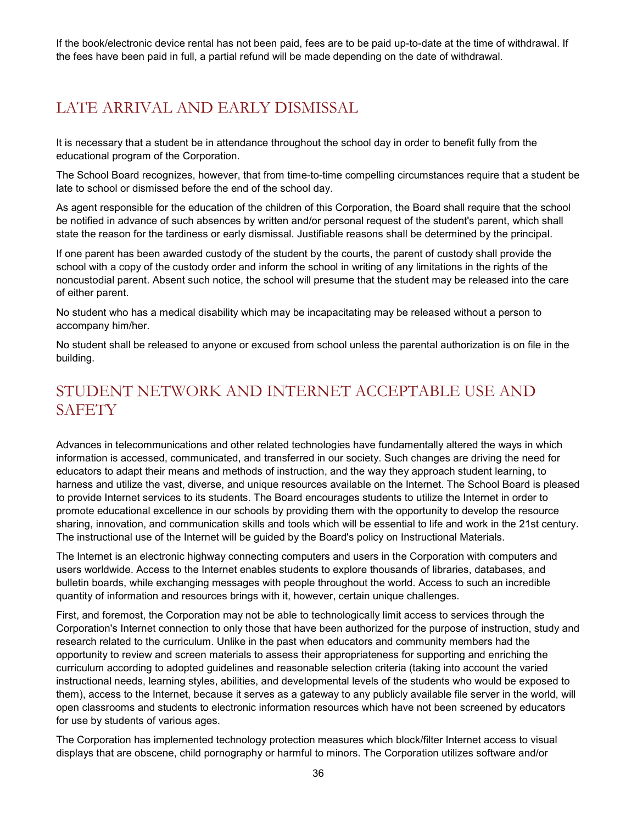If the book/electronic device rental has not been paid, fees are to be paid up-to-date at the time of withdrawal. If the fees have been paid in full, a partial refund will be made depending on the date of withdrawal.

### <span id="page-35-0"></span>LATE ARRIVAL AND EARLY DISMISSAL

It is necessary that a student be in attendance throughout the school day in order to benefit fully from the educational program of the Corporation.

The School Board recognizes, however, that from time-to-time compelling circumstances require that a student be late to school or dismissed before the end of the school day.

As agent responsible for the education of the children of this Corporation, the Board shall require that the school be notified in advance of such absences by written and/or personal request of the student's parent, which shall state the reason for the tardiness or early dismissal. Justifiable reasons shall be determined by the principal.

If one parent has been awarded custody of the student by the courts, the parent of custody shall provide the school with a copy of the custody order and inform the school in writing of any limitations in the rights of the noncustodial parent. Absent such notice, the school will presume that the student may be released into the care of either parent.

No student who has a medical disability which may be incapacitating may be released without a person to accompany him/her.

No student shall be released to anyone or excused from school unless the parental authorization is on file in the building.

### <span id="page-35-1"></span>STUDENT NETWORK AND INTERNET ACCEPTABLE USE AND **SAFETY**

Advances in telecommunications and other related technologies have fundamentally altered the ways in which information is accessed, communicated, and transferred in our society. Such changes are driving the need for educators to adapt their means and methods of instruction, and the way they approach student learning, to harness and utilize the vast, diverse, and unique resources available on the Internet. The School Board is pleased to provide Internet services to its students. The Board encourages students to utilize the Internet in order to promote educational excellence in our schools by providing them with the opportunity to develop the resource sharing, innovation, and communication skills and tools which will be essential to life and work in the 21st century. The instructional use of the Internet will be guided by the Board's policy on Instructional Materials.

The Internet is an electronic highway connecting computers and users in the Corporation with computers and users worldwide. Access to the Internet enables students to explore thousands of libraries, databases, and bulletin boards, while exchanging messages with people throughout the world. Access to such an incredible quantity of information and resources brings with it, however, certain unique challenges.

First, and foremost, the Corporation may not be able to technologically limit access to services through the Corporation's Internet connection to only those that have been authorized for the purpose of instruction, study and research related to the curriculum. Unlike in the past when educators and community members had the opportunity to review and screen materials to assess their appropriateness for supporting and enriching the curriculum according to adopted guidelines and reasonable selection criteria (taking into account the varied instructional needs, learning styles, abilities, and developmental levels of the students who would be exposed to them), access to the Internet, because it serves as a gateway to any publicly available file server in the world, will open classrooms and students to electronic information resources which have not been screened by educators for use by students of various ages.

The Corporation has implemented technology protection measures which block/filter Internet access to visual displays that are obscene, child pornography or harmful to minors. The Corporation utilizes software and/or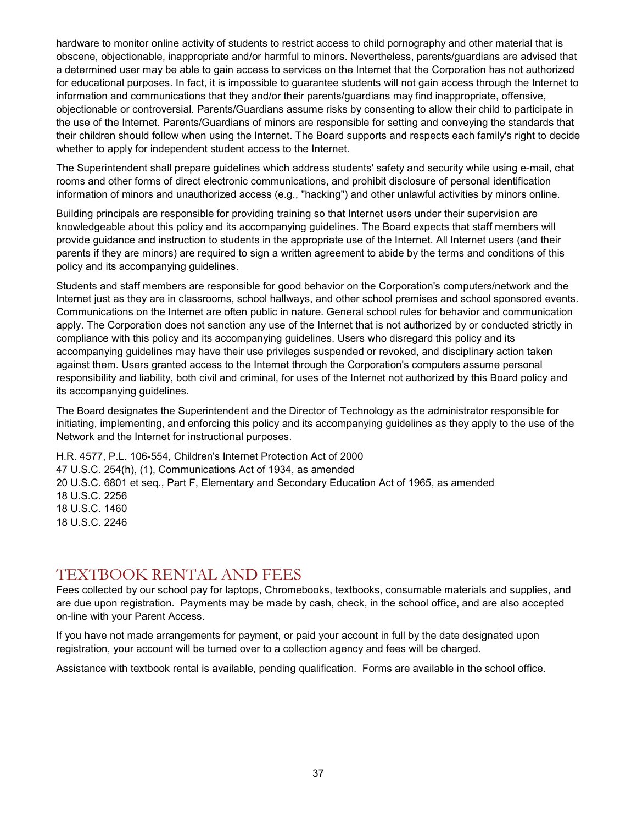hardware to monitor online activity of students to restrict access to child pornography and other material that is obscene, objectionable, inappropriate and/or harmful to minors. Nevertheless, parents/guardians are advised that a determined user may be able to gain access to services on the Internet that the Corporation has not authorized for educational purposes. In fact, it is impossible to guarantee students will not gain access through the Internet to information and communications that they and/or their parents/guardians may find inappropriate, offensive, objectionable or controversial. Parents/Guardians assume risks by consenting to allow their child to participate in the use of the Internet. Parents/Guardians of minors are responsible for setting and conveying the standards that their children should follow when using the Internet. The Board supports and respects each family's right to decide whether to apply for independent student access to the Internet.

The Superintendent shall prepare guidelines which address students' safety and security while using e-mail, chat rooms and other forms of direct electronic communications, and prohibit disclosure of personal identification information of minors and unauthorized access (e.g., "hacking") and other unlawful activities by minors online.

Building principals are responsible for providing training so that Internet users under their supervision are knowledgeable about this policy and its accompanying guidelines. The Board expects that staff members will provide guidance and instruction to students in the appropriate use of the Internet. All Internet users (and their parents if they are minors) are required to sign a written agreement to abide by the terms and conditions of this policy and its accompanying guidelines.

Students and staff members are responsible for good behavior on the Corporation's computers/network and the Internet just as they are in classrooms, school hallways, and other school premises and school sponsored events. Communications on the Internet are often public in nature. General school rules for behavior and communication apply. The Corporation does not sanction any use of the Internet that is not authorized by or conducted strictly in compliance with this policy and its accompanying guidelines. Users who disregard this policy and its accompanying guidelines may have their use privileges suspended or revoked, and disciplinary action taken against them. Users granted access to the Internet through the Corporation's computers assume personal responsibility and liability, both civil and criminal, for uses of the Internet not authorized by this Board policy and its accompanying guidelines.

The Board designates the Superintendent and the Director of Technology as the administrator responsible for initiating, implementing, and enforcing this policy and its accompanying guidelines as they apply to the use of the Network and the Internet for instructional purposes.

H.R. 4577, P.L. 106-554, Children's Internet Protection Act of 2000 47 U.S.C. 254(h), (1), Communications Act of 1934, as amended 20 U.S.C. 6801 et seq., Part F, Elementary and Secondary Education Act of 1965, as amended 18 U.S.C. 2256 18 U.S.C. 1460 18 U.S.C. 2246

#### <span id="page-36-0"></span>TEXTBOOK RENTAL AND FEES

Fees collected by our school pay for laptops, Chromebooks, textbooks, consumable materials and supplies, and are due upon registration. Payments may be made by cash, check, in the school office, and are also accepted on-line with your Parent Access.

If you have not made arrangements for payment, or paid your account in full by the date designated upon registration, your account will be turned over to a collection agency and fees will be charged.

Assistance with textbook rental is available, pending qualification. Forms are available in the school office.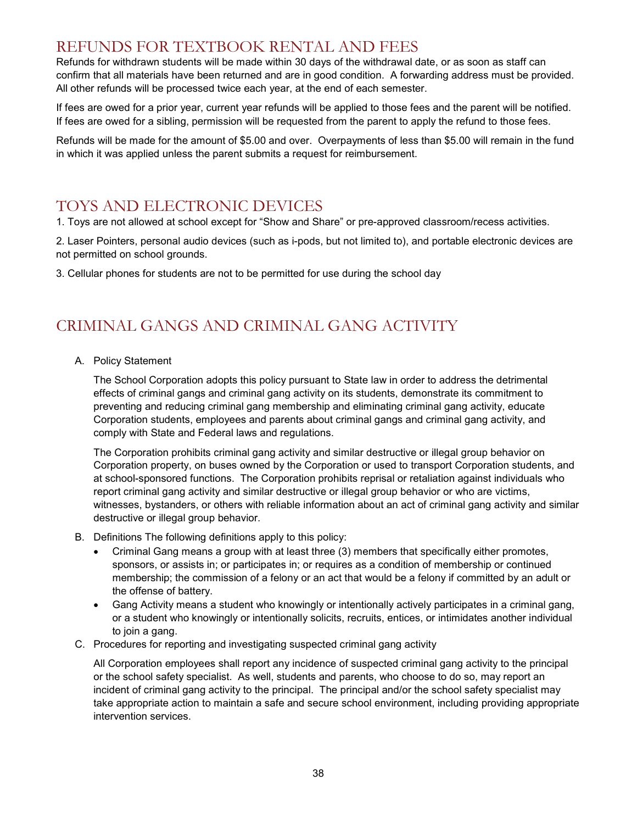#### <span id="page-37-0"></span>REFUNDS FOR TEXTBOOK RENTAL AND FEES

Refunds for withdrawn students will be made within 30 days of the withdrawal date, or as soon as staff can confirm that all materials have been returned and are in good condition. A forwarding address must be provided. All other refunds will be processed twice each year, at the end of each semester.

If fees are owed for a prior year, current year refunds will be applied to those fees and the parent will be notified. If fees are owed for a sibling, permission will be requested from the parent to apply the refund to those fees.

Refunds will be made for the amount of \$5.00 and over. Overpayments of less than \$5.00 will remain in the fund in which it was applied unless the parent submits a request for reimbursement.

#### <span id="page-37-1"></span>TOYS AND ELECTRONIC DEVICES

1. Toys are not allowed at school except for "Show and Share" or pre-approved classroom/recess activities.

2. Laser Pointers, personal audio devices (such as i-pods, but not limited to), and portable electronic devices are not permitted on school grounds.

3. Cellular phones for students are not to be permitted for use during the school day

### <span id="page-37-2"></span>CRIMINAL GANGS AND CRIMINAL GANG ACTIVITY

A. Policy Statement

The School Corporation adopts this policy pursuant to State law in order to address the detrimental effects of criminal gangs and criminal gang activity on its students, demonstrate its commitment to preventing and reducing criminal gang membership and eliminating criminal gang activity, educate Corporation students, employees and parents about criminal gangs and criminal gang activity, and comply with State and Federal laws and regulations.

The Corporation prohibits criminal gang activity and similar destructive or illegal group behavior on Corporation property, on buses owned by the Corporation or used to transport Corporation students, and at school-sponsored functions. The Corporation prohibits reprisal or retaliation against individuals who report criminal gang activity and similar destructive or illegal group behavior or who are victims, witnesses, bystanders, or others with reliable information about an act of criminal gang activity and similar destructive or illegal group behavior.

- B. Definitions The following definitions apply to this policy:
	- Criminal Gang means a group with at least three (3) members that specifically either promotes, sponsors, or assists in; or participates in; or requires as a condition of membership or continued membership; the commission of a felony or an act that would be a felony if committed by an adult or the offense of battery.
	- Gang Activity means a student who knowingly or intentionally actively participates in a criminal gang, or a student who knowingly or intentionally solicits, recruits, entices, or intimidates another individual to join a gang.
- C. Procedures for reporting and investigating suspected criminal gang activity

All Corporation employees shall report any incidence of suspected criminal gang activity to the principal or the school safety specialist. As well, students and parents, who choose to do so, may report an incident of criminal gang activity to the principal. The principal and/or the school safety specialist may take appropriate action to maintain a safe and secure school environment, including providing appropriate intervention services.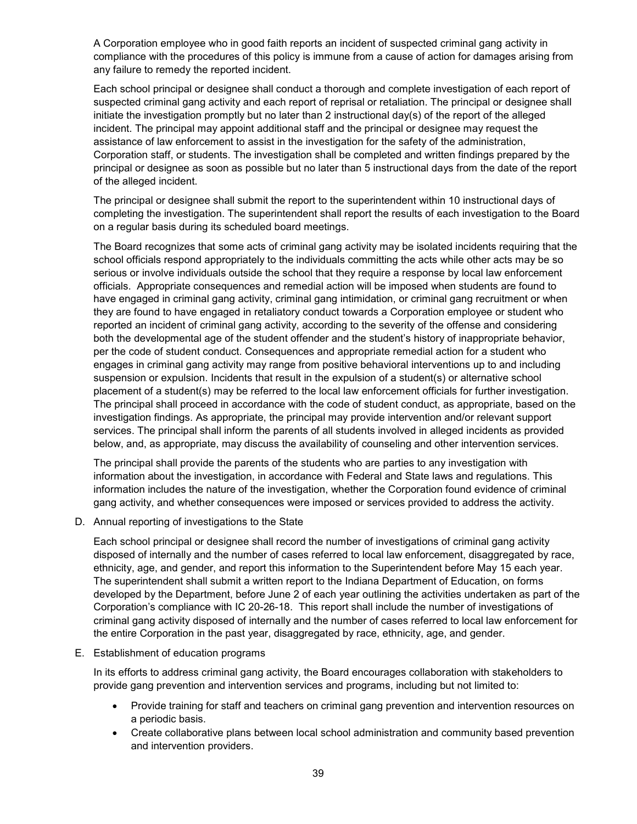A Corporation employee who in good faith reports an incident of suspected criminal gang activity in compliance with the procedures of this policy is immune from a cause of action for damages arising from any failure to remedy the reported incident.

Each school principal or designee shall conduct a thorough and complete investigation of each report of suspected criminal gang activity and each report of reprisal or retaliation. The principal or designee shall initiate the investigation promptly but no later than 2 instructional day(s) of the report of the alleged incident. The principal may appoint additional staff and the principal or designee may request the assistance of law enforcement to assist in the investigation for the safety of the administration, Corporation staff, or students. The investigation shall be completed and written findings prepared by the principal or designee as soon as possible but no later than 5 instructional days from the date of the report of the alleged incident.

The principal or designee shall submit the report to the superintendent within 10 instructional days of completing the investigation. The superintendent shall report the results of each investigation to the Board on a regular basis during its scheduled board meetings.

The Board recognizes that some acts of criminal gang activity may be isolated incidents requiring that the school officials respond appropriately to the individuals committing the acts while other acts may be so serious or involve individuals outside the school that they require a response by local law enforcement officials. Appropriate consequences and remedial action will be imposed when students are found to have engaged in criminal gang activity, criminal gang intimidation, or criminal gang recruitment or when they are found to have engaged in retaliatory conduct towards a Corporation employee or student who reported an incident of criminal gang activity, according to the severity of the offense and considering both the developmental age of the student offender and the student's history of inappropriate behavior, per the code of student conduct. Consequences and appropriate remedial action for a student who engages in criminal gang activity may range from positive behavioral interventions up to and including suspension or expulsion. Incidents that result in the expulsion of a student(s) or alternative school placement of a student(s) may be referred to the local law enforcement officials for further investigation. The principal shall proceed in accordance with the code of student conduct, as appropriate, based on the investigation findings. As appropriate, the principal may provide intervention and/or relevant support services. The principal shall inform the parents of all students involved in alleged incidents as provided below, and, as appropriate, may discuss the availability of counseling and other intervention services.

The principal shall provide the parents of the students who are parties to any investigation with information about the investigation, in accordance with Federal and State laws and regulations. This information includes the nature of the investigation, whether the Corporation found evidence of criminal gang activity, and whether consequences were imposed or services provided to address the activity.

D. Annual reporting of investigations to the State

Each school principal or designee shall record the number of investigations of criminal gang activity disposed of internally and the number of cases referred to local law enforcement, disaggregated by race, ethnicity, age, and gender, and report this information to the Superintendent before May 15 each year. The superintendent shall submit a written report to the Indiana Department of Education, on forms developed by the Department, before June 2 of each year outlining the activities undertaken as part of the Corporation's compliance with IC 20-26-18. This report shall include the number of investigations of criminal gang activity disposed of internally and the number of cases referred to local law enforcement for the entire Corporation in the past year, disaggregated by race, ethnicity, age, and gender.

E. Establishment of education programs

In its efforts to address criminal gang activity, the Board encourages collaboration with stakeholders to provide gang prevention and intervention services and programs, including but not limited to:

- Provide training for staff and teachers on criminal gang prevention and intervention resources on a periodic basis.
- Create collaborative plans between local school administration and community based prevention and intervention providers.